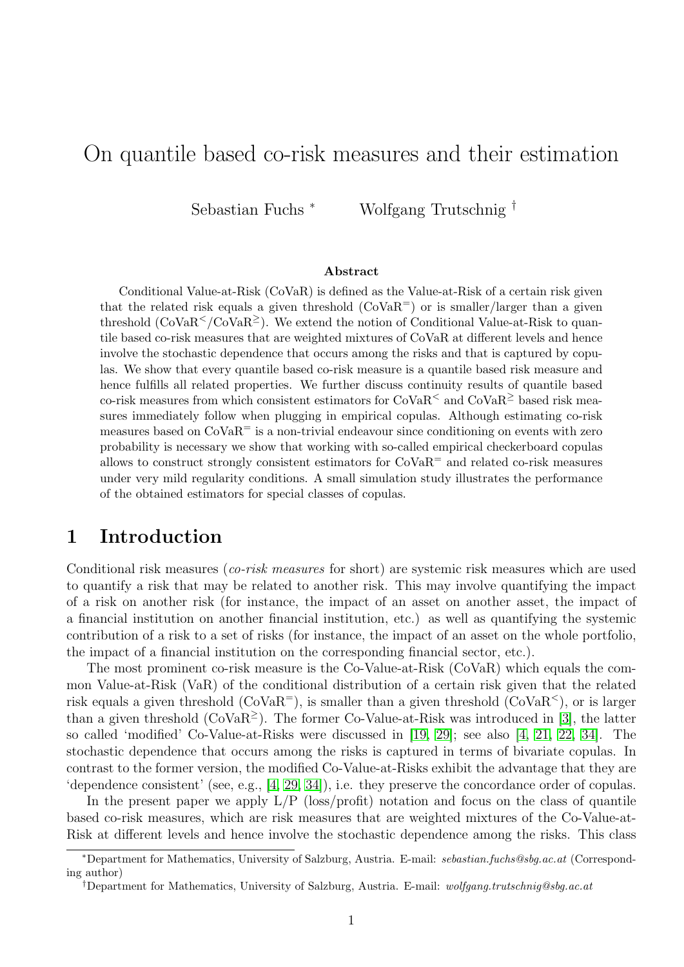# On quantile based co-risk measures and their estimation

Sebastian Fuchs <sup>∗</sup> Wolfgang Trutschnig †

#### Abstract

Conditional Value-at-Risk (CoVaR) is defined as the Value-at-Risk of a certain risk given that the related risk equals a given threshold  $(CoVaR<sup>=</sup>)$  or is smaller/larger than a given threshold  $(CoVaR<sup>2</sup>/CoVaR<sup>2</sup>)$ . We extend the notion of Conditional Value-at-Risk to quantile based co-risk measures that are weighted mixtures of CoVaR at different levels and hence involve the stochastic dependence that occurs among the risks and that is captured by copulas. We show that every quantile based co-risk measure is a quantile based risk measure and hence fulfills all related properties. We further discuss continuity results of quantile based co-risk measures from which consistent estimators for  $CoVaR<sup>2</sup>$  and  $CoVaR<sup>2</sup>$  based risk measures immediately follow when plugging in empirical copulas. Although estimating co-risk measures based on  $\text{CoVaR}^=$  is a non-trivial endeavour since conditioning on events with zero probability is necessary we show that working with so-called empirical checkerboard copulas allows to construct strongly consistent estimators for  $CovaR$ <sup>=</sup> and related co-risk measures under very mild regularity conditions. A small simulation study illustrates the performance of the obtained estimators for special classes of copulas.

# 1 Introduction

Conditional risk measures (co-risk measures for short) are systemic risk measures which are used to quantify a risk that may be related to another risk. This may involve quantifying the impact of a risk on another risk (for instance, the impact of an asset on another asset, the impact of a financial institution on another financial institution, etc.) as well as quantifying the systemic contribution of a risk to a set of risks (for instance, the impact of an asset on the whole portfolio, the impact of a financial institution on the corresponding financial sector, etc.).

The most prominent co-risk measure is the Co-Value-at-Risk (CoVaR) which equals the common Value-at-Risk (VaR) of the conditional distribution of a certain risk given that the related risk equals a given threshold  $(CoVaR<sup>=</sup>)$ , is smaller than a given threshold  $(CoVaR<sup><</sup>)$ , or is larger than a given threshold ( $\text{CoVaR}^{\geq}$ ). The former Co-Value-at-Risk was introduced in [\[3\]](#page-22-0), the latter so called 'modified' Co-Value-at-Risks were discussed in [\[19,](#page-22-1) [29\]](#page-23-0); see also [\[4,](#page-22-2) [21,](#page-22-3) [22,](#page-22-4) [34\]](#page-23-1). The stochastic dependence that occurs among the risks is captured in terms of bivariate copulas. In contrast to the former version, the modified Co-Value-at-Risks exhibit the advantage that they are 'dependence consistent' (see, e.g., [\[4,](#page-22-2) [29,](#page-23-0) [34\]](#page-23-1)), i.e. they preserve the concordance order of copulas.

In the present paper we apply  $L/P$  (loss/profit) notation and focus on the class of quantile based co-risk measures, which are risk measures that are weighted mixtures of the Co-Value-at-Risk at different levels and hence involve the stochastic dependence among the risks. This class

<sup>∗</sup>Department for Mathematics, University of Salzburg, Austria. E-mail: sebastian.fuchs@sbg.ac.at (Corresponding author)

<sup>†</sup>Department for Mathematics, University of Salzburg, Austria. E-mail: wolfgang.trutschnig@sbg.ac.at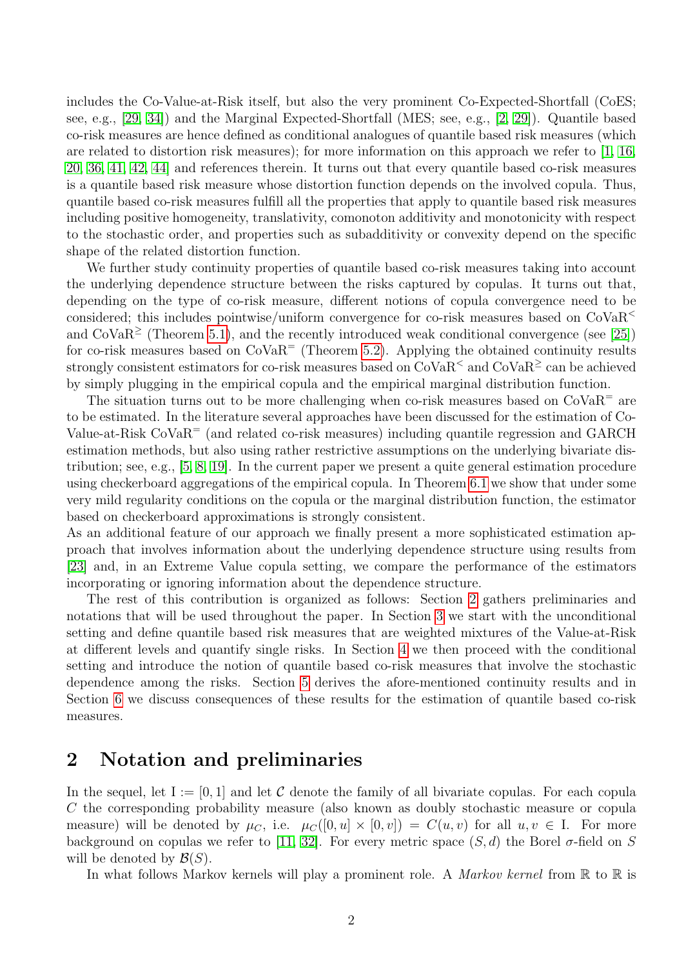includes the Co-Value-at-Risk itself, but also the very prominent Co-Expected-Shortfall (CoES; see, e.g., [\[29,](#page-23-0) [34\]](#page-23-1)) and the Marginal Expected-Shortfall (MES; see, e.g., [\[2,](#page-22-5) [29\]](#page-23-0)). Quantile based co-risk measures are hence defined as conditional analogues of quantile based risk measures (which are related to distortion risk measures); for more information on this approach we refer to [\[1,](#page-22-6) [16,](#page-22-7) [20,](#page-22-8) [36,](#page-23-2) [41,](#page-23-3) [42,](#page-23-4) [44\]](#page-23-5) and references therein. It turns out that every quantile based co-risk measures is a quantile based risk measure whose distortion function depends on the involved copula. Thus, quantile based co-risk measures fulfill all the properties that apply to quantile based risk measures including positive homogeneity, translativity, comonoton additivity and monotonicity with respect to the stochastic order, and properties such as subadditivity or convexity depend on the specific shape of the related distortion function.

We further study continuity properties of quantile based co-risk measures taking into account the underlying dependence structure between the risks captured by copulas. It turns out that, depending on the type of co-risk measure, different notions of copula convergence need to be considered; this includes pointwise/uniform convergence for co-risk measures based on  $\text{CoVaR}^<$ and  $CoVaR<sup>2</sup>$  (Theorem [5.1\)](#page-14-0), and the recently introduced weak conditional convergence (see [\[25\]](#page-23-6)) for co-risk measures based on  $\text{CoVaR}^=$  (Theorem [5.2\)](#page-14-1). Applying the obtained continuity results strongly consistent estimators for co-risk measures based on  $CoVaR<sup>2</sup>$  and  $CoVaR<sup>2</sup>$  can be achieved by simply plugging in the empirical copula and the empirical marginal distribution function.

The situation turns out to be more challenging when co-risk measures based on  $CoVaR = are$ to be estimated. In the literature several approaches have been discussed for the estimation of Co-Value-at-Risk CoVaR<sup>=</sup> (and related co-risk measures) including quantile regression and GARCH estimation methods, but also using rather restrictive assumptions on the underlying bivariate distribution; see, e.g., [\[5,](#page-22-9) [8,](#page-22-10) [19\]](#page-22-1). In the current paper we present a quite general estimation procedure using checkerboard aggregations of the empirical copula. In Theorem [6.1](#page-18-0) we show that under some very mild regularity conditions on the copula or the marginal distribution function, the estimator based on checkerboard approximations is strongly consistent.

As an additional feature of our approach we finally present a more sophisticated estimation approach that involves information about the underlying dependence structure using results from [\[23\]](#page-23-7) and, in an Extreme Value copula setting, we compare the performance of the estimators incorporating or ignoring information about the dependence structure.

The rest of this contribution is organized as follows: Section [2](#page-1-0) gathers preliminaries and notations that will be used throughout the paper. In Section [3](#page-2-0) we start with the unconditional setting and define quantile based risk measures that are weighted mixtures of the Value-at-Risk at different levels and quantify single risks. In Section [4](#page-5-0) we then proceed with the conditional setting and introduce the notion of quantile based co-risk measures that involve the stochastic dependence among the risks. Section [5](#page-13-0) derives the afore-mentioned continuity results and in Section [6](#page-17-0) we discuss consequences of these results for the estimation of quantile based co-risk measures.

### <span id="page-1-0"></span>2 Notation and preliminaries

In the sequel, let  $I := [0, 1]$  and let C denote the family of all bivariate copulas. For each copula C the corresponding probability measure (also known as doubly stochastic measure or copula measure) will be denoted by  $\mu_C$ , i.e.  $\mu_C([0, u] \times [0, v]) = C(u, v)$  for all  $u, v \in I$ . For more background on copulas we refer to [\[11,](#page-22-11) [32\]](#page-23-8). For every metric space  $(S, d)$  the Borel  $\sigma$ -field on S will be denoted by  $\mathcal{B}(S)$ .

In what follows Markov kernels will play a prominent role. A *Markov kernel* from  $\mathbb R$  to  $\mathbb R$  is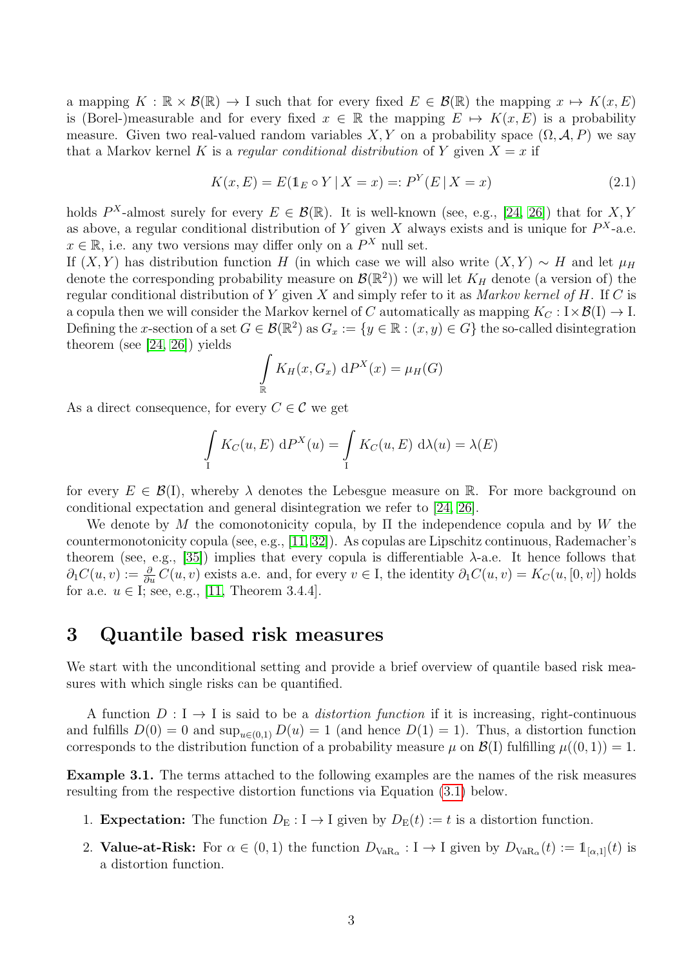a mapping  $K : \mathbb{R} \times \mathcal{B}(\mathbb{R}) \to I$  such that for every fixed  $E \in \mathcal{B}(\mathbb{R})$  the mapping  $x \mapsto K(x, E)$ is (Borel-)measurable and for every fixed  $x \in \mathbb{R}$  the mapping  $E \mapsto K(x, E)$  is a probability measure. Given two real-valued random variables  $X, Y$  on a probability space  $(\Omega, \mathcal{A}, P)$  we say that a Markov kernel K is a regular conditional distribution of Y given  $X = x$  if

$$
K(x, E) = E(\mathbb{1}_E \circ Y | X = x) =: P^Y(E | X = x)
$$
\n(2.1)

holds  $P^X$ -almost surely for every  $E \in \mathcal{B}(\mathbb{R})$ . It is well-known (see, e.g., [\[24,](#page-23-9) [26\]](#page-23-10)) that for X, Y as above, a regular conditional distribution of Y given X always exists and is unique for  $P^{X}$ -a.e.  $x \in \mathbb{R}$ , i.e. any two versions may differ only on a  $P^X$  null set.

If  $(X, Y)$  has distribution function H (in which case we will also write  $(X, Y) \sim H$  and let  $\mu_H$ denote the corresponding probability measure on  $\mathcal{B}(\mathbb{R}^2)$  we will let  $K_H$  denote (a version of) the regular conditional distribution of Y given  $X$  and simply refer to it as Markov kernel of  $H$ . If  $C$  is a copula then we will consider the Markov kernel of C automatically as mapping  $K_C : I \times \mathcal{B}(I) \to I$ . Defining the x-section of a set  $G \in \mathcal{B}(\mathbb{R}^2)$  as  $G_x := \{y \in \mathbb{R} : (x, y) \in G\}$  the so-called disintegration theorem (see [\[24,](#page-23-9) [26\]](#page-23-10)) yields

$$
\int_{\mathbb{R}} K_H(x, G_x) \, dP^X(x) = \mu_H(G)
$$

As a direct consequence, for every  $C \in \mathcal{C}$  we get

$$
\int_{I} K_C(u, E) dP^{X}(u) = \int_{I} K_C(u, E) d\lambda(u) = \lambda(E)
$$

for every  $E \in \mathcal{B}(I)$ , whereby  $\lambda$  denotes the Lebesgue measure on R. For more background on conditional expectation and general disintegration we refer to [\[24,](#page-23-9) [26\]](#page-23-10).

We denote by M the comonotonicity copula, by  $\Pi$  the independence copula and by W the countermonotonicity copula (see, e.g., [\[11,](#page-22-11) [32\]](#page-23-8)). As copulas are Lipschitz continuous, Rademacher's theorem (see, e.g., [\[35\]](#page-23-11)) implies that every copula is differentiable  $\lambda$ -a.e. It hence follows that  $\partial_1 C(u, v) := \frac{\partial}{\partial u} C(u, v)$  exists a.e. and, for every  $v \in I$ , the identity  $\partial_1 C(u, v) = K_C(u, [0, v])$  holds for a.e.  $u \in I$ ; see, e.g., [\[11,](#page-22-11) Theorem 3.4.4].

## <span id="page-2-0"></span>3 Quantile based risk measures

We start with the unconditional setting and provide a brief overview of quantile based risk measures with which single risks can be quantified.

A function  $D: I \to I$  is said to be a *distortion function* if it is increasing, right-continuous and fulfills  $D(0) = 0$  and  $\sup_{u \in (0,1)} D(u) = 1$  (and hence  $D(1) = 1$ ). Thus, a distortion function corresponds to the distribution function of a probability measure  $\mu$  on  $\mathcal{B}(I)$  fulfilling  $\mu((0,1)) = 1$ .

Example 3.1. The terms attached to the following examples are the names of the risk measures resulting from the respective distortion functions via Equation [\(3.1\)](#page-3-0) below.

- 1. **Expectation:** The function  $D<sub>E</sub>: I \to I$  given by  $D<sub>E</sub>(t) := t$  is a distortion function.
- 2. **Value-at-Risk:** For  $\alpha \in (0,1)$  the function  $D_{VaR_{\alpha}} : I \to I$  given by  $D_{VaR_{\alpha}}(t) := 1_{[\alpha,1]}(t)$  is a distortion function.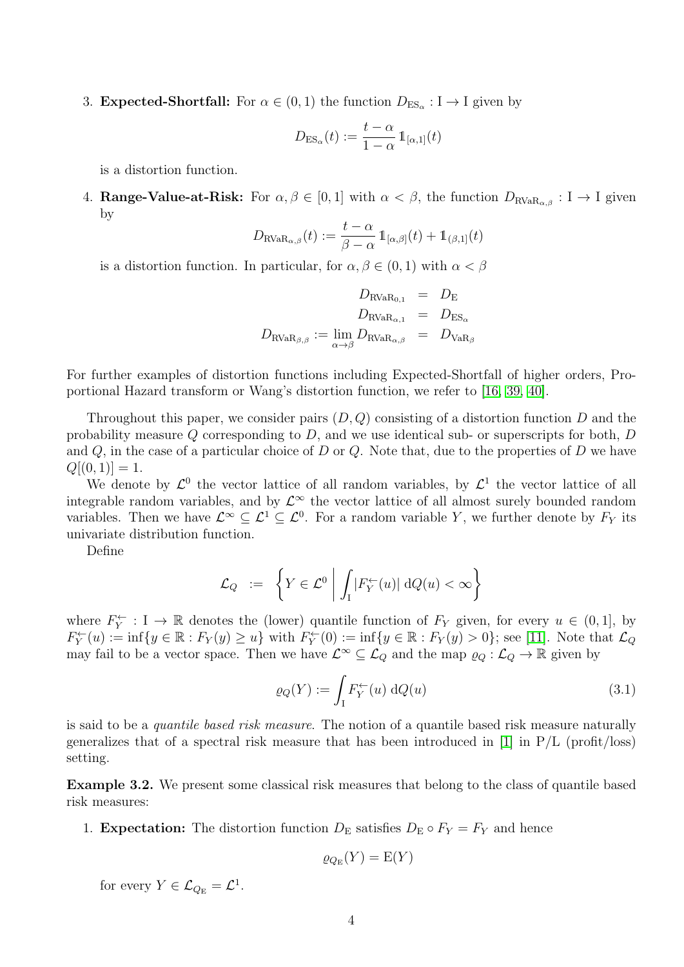3. **Expected-Shortfall:** For  $\alpha \in (0,1)$  the function  $D_{ES_{\alpha}} : I \to I$  given by

$$
D_{\mathrm{ES}_\alpha}(t) := \frac{t - \alpha}{1 - \alpha} \mathbb{1}_{[\alpha,1]}(t)
$$

is a distortion function.

4. Range-Value-at-Risk: For  $\alpha, \beta \in [0, 1]$  with  $\alpha < \beta$ , the function  $D_{\text{RVaR}_{\alpha\beta}} : I \to I$  given by

$$
D_{\text{RVaR}_{\alpha,\beta}}(t) := \frac{t-\alpha}{\beta-\alpha} 1\!\!1_{[\alpha,\beta]}(t) + 1\!\!1_{(\beta,1]}(t)
$$

is a distortion function. In particular, for  $\alpha, \beta \in (0,1)$  with  $\alpha < \beta$ 

$$
D_{\text{RVaR}_{0,1}} = D_{\text{E}}
$$
  

$$
D_{\text{RVaR}_{\alpha,1}} = D_{\text{ES}_{\alpha}}
$$
  

$$
D_{\text{RVaR}_{\beta,\beta}} := \lim_{\alpha \to \beta} D_{\text{RVaR}_{\alpha,\beta}} = D_{\text{VaR}_{\beta}}
$$

For further examples of distortion functions including Expected-Shortfall of higher orders, Proportional Hazard transform or Wang's distortion function, we refer to [\[16,](#page-22-7) [39,](#page-23-12) [40\]](#page-23-13).

Throughout this paper, we consider pairs  $(D, Q)$  consisting of a distortion function D and the probability measure  $Q$  corresponding to  $D$ , and we use identical sub- or superscripts for both,  $D$ and  $Q$ , in the case of a particular choice of  $D$  or  $Q$ . Note that, due to the properties of  $D$  we have  $Q[(0, 1)] = 1.$ 

We denote by  $\mathcal{L}^0$  the vector lattice of all random variables, by  $\mathcal{L}^1$  the vector lattice of all integrable random variables, and by  $\mathcal{L}^{\infty}$  the vector lattice of all almost surely bounded random variables. Then we have  $\mathcal{L}^{\infty} \subseteq \mathcal{L}^1 \subseteq \mathcal{L}^0$ . For a random variable Y, we further denote by  $F_Y$  its univariate distribution function.

Define

$$
\mathcal{L}_Q := \left\{ Y \in \mathcal{L}^0 \middle| \int_I |F_Y^{\leftarrow}(u)| \, dQ(u) < \infty \right\}
$$

where  $F_Y^{\leftarrow} : I \rightarrow \mathbb{R}$  denotes the (lower) quantile function of  $F_Y$  given, for every  $u \in (0,1]$ , by  $F_Y^{\leftarrow}(u) := \inf\{y \in \mathbb{R} : F_Y(y) \ge u\}$  with  $F_Y^{\leftarrow}(0) := \inf\{y \in \mathbb{R} : F_Y(y) > 0\}$ ; see [\[11\]](#page-22-11). Note that  $\mathcal{L}_Q$ may fail to be a vector space. Then we have  $\mathcal{L}^{\infty} \subseteq \mathcal{L}_{Q}$  and the map  $\varrho_{Q} : \mathcal{L}_{Q} \to \mathbb{R}$  given by

<span id="page-3-0"></span>
$$
\varrho_Q(Y) := \int_I F_Y^{\leftarrow}(u) \, dQ(u) \tag{3.1}
$$

is said to be a quantile based risk measure. The notion of a quantile based risk measure naturally generalizes that of a spectral risk measure that has been introduced in  $[1]$  in  $P/L$  (profit/loss) setting.

Example 3.2. We present some classical risk measures that belong to the class of quantile based risk measures:

1. **Expectation:** The distortion function  $D<sub>E</sub>$  satisfies  $D<sub>E</sub> \circ F<sub>Y</sub> = F<sub>Y</sub>$  and hence

$$
\varrho_{Q_{\rm E}}(Y)={\rm E}(Y)
$$

for every  $Y \in \mathcal{L}_{Q_{\mathrm{E}}} = \mathcal{L}^1$ .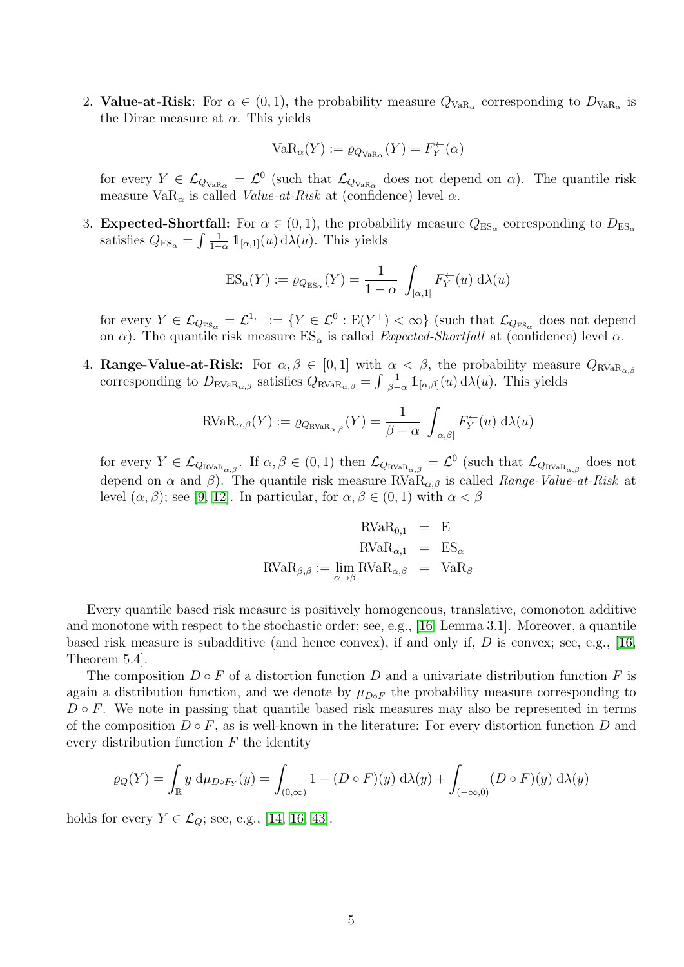2. Value-at-Risk: For  $\alpha \in (0,1)$ , the probability measure  $Q_{VaR_{\alpha}}$  corresponding to  $D_{VaR_{\alpha}}$  is the Dirac measure at  $\alpha$ . This yields

$$
VaR_{\alpha}(Y):=\varrho_{Q_{VaR_{\alpha}}}(Y)=F_Y^{\leftarrow}(\alpha)
$$

for every  $Y \in \mathcal{L}_{Q_{VaR_{\alpha}}} = \mathcal{L}^0$  (such that  $\mathcal{L}_{Q_{VaR_{\alpha}}}$  does not depend on  $\alpha$ ). The quantile risk measure  $VaR_{\alpha}$  is called *Value-at-Risk* at (confidence) level  $\alpha$ .

3. **Expected-Shortfall:** For  $\alpha \in (0, 1)$ , the probability measure  $Q_{ES_{\alpha}}$  corresponding to  $D_{ES_{\alpha}}$ satisfies  $Q_{ES_{\alpha}} = \int \frac{1}{1 - \alpha}$  $\frac{1}{1-\alpha} \mathbb{1}_{[\alpha,1]}(u) d\lambda(u)$ . This yields

$$
ES_{\alpha}(Y) := \varrho_{Q_{ES_{\alpha}}}(Y) = \frac{1}{1 - \alpha} \int_{[\alpha,1]} F_Y^{\leftarrow}(u) d\lambda(u)
$$

for every  $Y \in \mathcal{L}_{Q_{\text{ES}_\alpha}} = \mathcal{L}^{1,+} := \{ Y \in \mathcal{L}^0 : \text{E}(Y^+) < \infty \}$  (such that  $\mathcal{L}_{Q_{\text{ES}_\alpha}}$  does not depend on  $\alpha$ ). The quantile risk measure  $ES_{\alpha}$  is called *Expected-Shortfall* at (confidence) level  $\alpha$ .

4. **Range-Value-at-Risk:** For  $\alpha, \beta \in [0, 1]$  with  $\alpha < \beta$ , the probability measure  $Q_{\text{RVaR}_{\alpha,\beta}}$ corresponding to  $D_{\text{RVaR}_{\alpha,\beta}}$  satisfies  $Q_{\text{RVaR}_{\alpha,\beta}} = \int \frac{1}{\beta - 1}$  $\frac{1}{\beta-\alpha} 1\!\!1_{\left[\alpha,\beta\right]}(u) d\lambda(u)$ . This yields

$$
\text{RVaR}_{\alpha,\beta}(Y) := \varrho_{Q_{\text{RVaR}_{\alpha,\beta}}}(Y) = \frac{1}{\beta - \alpha} \int_{[\alpha,\beta]} F_Y^{\leftarrow}(u) \, d\lambda(u)
$$

for every  $Y \in \mathcal{L}_{Q_{\text{RVaR}_{\alpha,\beta}}}$ . If  $\alpha, \beta \in (0, 1)$  then  $\mathcal{L}_{Q_{\text{RVaR}_{\alpha,\beta}}} = \mathcal{L}^0$  (such that  $\mathcal{L}_{Q_{\text{RVaR}_{\alpha,\beta}}}$  does not depend on  $\alpha$  and  $\beta$ ). The quantile risk measure RVa $R_{\alpha,\beta}$  is called *Range-Value-at-Risk* at level  $(\alpha, \beta)$ ; see [\[9,](#page-22-12) [12\]](#page-22-13). In particular, for  $\alpha, \beta \in (0, 1)$  with  $\alpha < \beta$ 

$$
\begin{array}{rcl} \text{RVaR}_{0,1} & = & \text{E} \\ \text{RVaR}_{\alpha,1} & = & \text{ES}_{\alpha} \\ \text{RVaR}_{\beta,\beta} := \lim_{\alpha \to \beta} \text{RVaR}_{\alpha,\beta} & = & \text{VaR}_{\beta} \end{array}
$$

Every quantile based risk measure is positively homogeneous, translative, comonoton additive and monotone with respect to the stochastic order; see, e.g., [\[16,](#page-22-7) Lemma 3.1]. Moreover, a quantile based risk measure is subadditive (and hence convex), if and only if, D is convex; see, e.g., [\[16,](#page-22-7) Theorem 5.4].

The composition  $D \circ F$  of a distortion function D and a univariate distribution function F is again a distribution function, and we denote by  $\mu_{DoF}$  the probability measure corresponding to  $D \circ F$ . We note in passing that quantile based risk measures may also be represented in terms of the composition  $D \circ F$ , as is well-known in the literature: For every distortion function D and every distribution function  $F$  the identity

$$
\varrho_Q(Y) = \int_{\mathbb{R}} y \, d\mu_{D \circ F_Y}(y) = \int_{(0,\infty)} 1 - (D \circ F)(y) \, d\lambda(y) + \int_{(-\infty,0)} (D \circ F)(y) \, d\lambda(y)
$$

holds for every  $Y \in \mathcal{L}_Q$ ; see, e.g., [\[14,](#page-22-14) [16,](#page-22-7) [43\]](#page-23-14).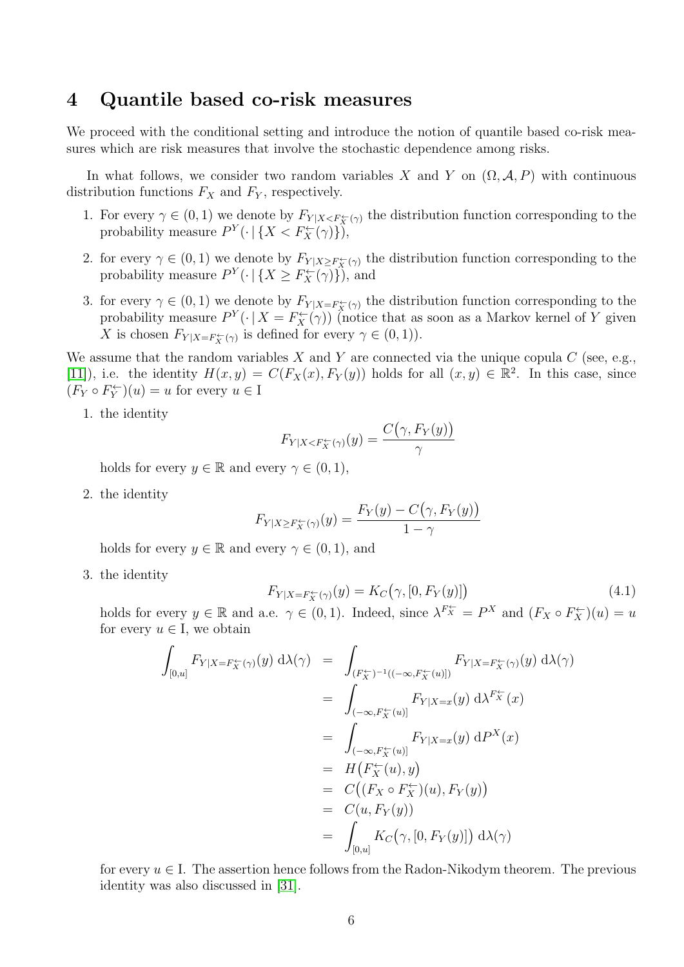## <span id="page-5-0"></span>4 Quantile based co-risk measures

We proceed with the conditional setting and introduce the notion of quantile based co-risk measures which are risk measures that involve the stochastic dependence among risks.

In what follows, we consider two random variables X and Y on  $(\Omega, \mathcal{A}, P)$  with continuous distribution functions  $F_X$  and  $F_Y$ , respectively.

- 1. For every  $\gamma \in (0,1)$  we denote by  $F_{Y|X \leq F_X^{\leftarrow}(\gamma)}$  the distribution function corresponding to the probability measure  $P^{Y}(\cdot | \{X < F_X^{\leftarrow}(\gamma)\})$ ,
- 2. for every  $\gamma \in (0,1)$  we denote by  $F_{Y|X \geq F_X^{\leftarrow}(\gamma)}$  the distribution function corresponding to the probability measure  $P^{Y}(\cdot | \{X \geq F_X^{\leftarrow}(\gamma)\})$ , and
- 3. for every  $\gamma \in (0,1)$  we denote by  $F_{Y|X=F_X^{\leftarrow}(\gamma)}$  the distribution function corresponding to the probability measure  $P^{Y}(\cdot | X = F_X^{\leftarrow}(\gamma))$  (notice that as soon as a Markov kernel of Y given X is chosen  $F_{Y|X=F_X^{\leftarrow}(\gamma)}$  is defined for every  $\gamma \in (0,1)$ ).

We assume that the random variables X and Y are connected via the unique copula  $C$  (see, e.g., [\[11\]](#page-22-11)), i.e. the identity  $H(x,y) = C(F_X(x), F_Y(y))$  holds for all  $(x, y) \in \mathbb{R}^2$ . In this case, since  $(F_Y \circ F_Y^{\leftarrow})(u) = u$  for every  $u \in I$ 

1. the identity

$$
F_{Y|X < F_X^{\leftarrow}(\gamma)}(y) = \frac{C(\gamma, F_Y(y))}{\gamma}
$$

holds for every  $y \in \mathbb{R}$  and every  $\gamma \in (0,1)$ ,

2. the identity

$$
F_{Y|X \ge F_X^{\leftarrow}(\gamma)}(y) = \frac{F_Y(y) - C(\gamma, F_Y(y))}{1 - \gamma}
$$

<span id="page-5-1"></span>holds for every  $y \in \mathbb{R}$  and every  $\gamma \in (0,1)$ , and

3. the identity

$$
F_{Y|X = F_X^{\leftarrow}(\gamma)}(y) = K_C(\gamma, [0, F_Y(y)])
$$
\n(4.1)

holds for every  $y \in \mathbb{R}$  and a.e.  $\gamma \in (0,1)$ . Indeed, since  $\lambda^{F^{\leftarrow}_{X}} = P^{X}$  and  $(F_X \circ F_X^{\leftarrow})(u) = u$ for every  $u \in I$ , we obtain

$$
\int_{[0,u]} F_{Y|X=F_X^{\leftarrow}(\gamma)}(y) d\lambda(\gamma) = \int_{(F_X^{\leftarrow})^{-1}((-\infty, F_X^{\leftarrow}(u)])} F_{Y|X=F_X^{\leftarrow}(\gamma)}(y) d\lambda(\gamma)
$$
\n
$$
= \int_{(-\infty, F_X^{\leftarrow}(u)]} F_{Y|X=x}(y) d\lambda^{F_X^{\leftarrow}}(x)
$$
\n
$$
= \int_{(-\infty, F_X^{\leftarrow}(u)]} F_{Y|X=x}(y) dP^X(x)
$$
\n
$$
= H(F_X^{\leftarrow}(u), y)
$$
\n
$$
= C((F_X \circ F_X^{\leftarrow})(u), F_Y(y))
$$
\n
$$
= C(u, F_Y(y))
$$
\n
$$
= \int_{[0,u]} K_C(\gamma, [0, F_Y(y)]) d\lambda(\gamma)
$$

for every  $u \in I$ . The assertion hence follows from the Radon-Nikodym theorem. The previous identity was also discussed in [\[31\]](#page-23-15).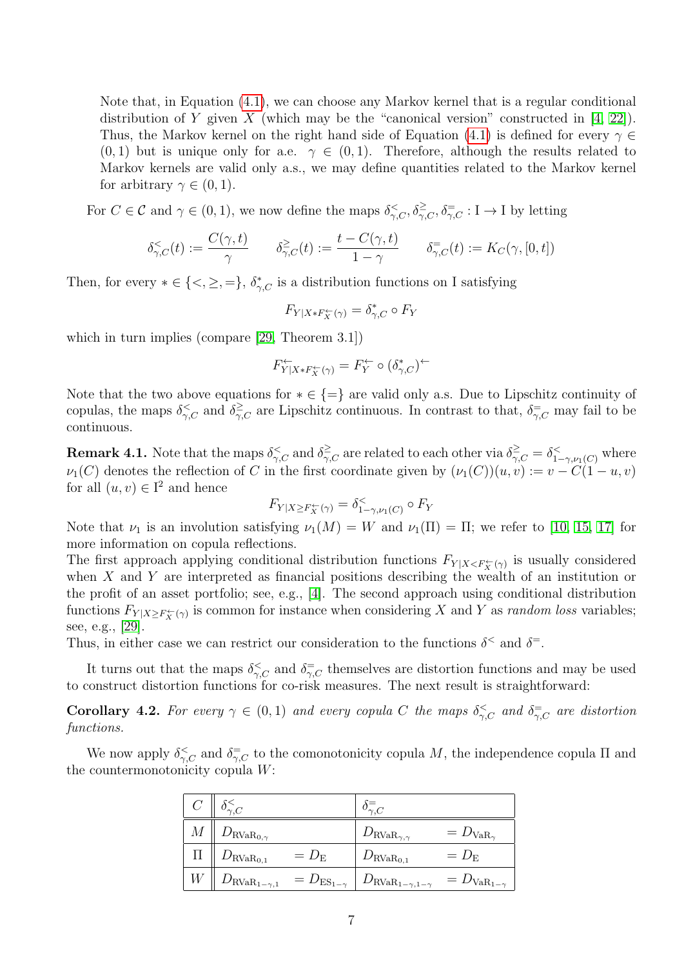Note that, in Equation [\(4.1\)](#page-5-1), we can choose any Markov kernel that is a regular conditional distribution of Y given X (which may be the "canonical version" constructed in  $[4, 22]$  $[4, 22]$ ). Thus, the Markov kernel on the right hand side of Equation [\(4.1\)](#page-5-1) is defined for every  $\gamma \in$  $(0, 1)$  but is unique only for a.e.  $\gamma \in (0, 1)$ . Therefore, although the results related to Markov kernels are valid only a.s., we may define quantities related to the Markov kernel for arbitrary  $\gamma \in (0,1)$ .

For  $C \in \mathcal{C}$  and  $\gamma \in (0, 1)$ , we now define the maps  $\delta_{\gamma, C}^{\leq}, \delta_{\gamma, C}^{\geq}, \delta_{\gamma, C}^{\equiv} : I \to I$  by letting

$$
\delta_{\gamma,C}^<(t) := \frac{C(\gamma,t)}{\gamma} \qquad \delta_{\gamma,C}^{\ge}(t) := \frac{t - C(\gamma,t)}{1 - \gamma} \qquad \delta_{\gamma,C}^=(t) := K_C(\gamma,[0,t])
$$

Then, for every  $*\in \{<,\geq,=\}, \delta_{\gamma,C}^*$  is a distribution functions on I satisfying

$$
F_{Y|X \ast F_X^{\leftarrow}(\gamma)} = \delta_{\gamma, C}^* \circ F_Y
$$

which in turn implies (compare [\[29,](#page-23-0) Theorem 3.1])

$$
F_{Y|X\ast F_X^{\leftarrow}(\gamma)}^{\leftarrow}=F_Y^{\leftarrow}\circ (\delta_{\gamma,C}^{\ast})^{\leftarrow}
$$

Note that the two above equations for  $*\in \{=\}$  are valid only a.s. Due to Lipschitz continuity of copulas, the maps  $\delta \xi_{\gamma,C}^<$  and  $\delta \xi_{\gamma,C}^>$  are Lipschitz continuous. In contrast to that,  $\delta \overline{\xi}_{\gamma,C}$  may fail to be continuous.

<span id="page-6-1"></span>**Remark 4.1.** Note that the maps  $\delta^{\leq}_{\gamma,C}$  and  $\delta^{\geq}_{\gamma,C}$  are related to each other via  $\delta^{\geq}_{\gamma,C} = \delta^{\leq}_{1-\gamma,\nu_1(C)}$  where  $\nu_1(C)$  denotes the reflection of C in the first coordinate given by  $(\nu_1(C))(u, v) := v - C(1 - u, v)$ for all  $(u, v) \in I^2$  and hence

$$
F_{Y|X \geq F_X^{\leftarrow}(\gamma)} = \delta^{\lt}_{1-\gamma,\nu_1(C)} \circ F_Y
$$

Note that  $\nu_1$  is an involution satisfying  $\nu_1(M) = W$  and  $\nu_1(\Pi) = \Pi$ ; we refer to [\[10,](#page-22-15) [15,](#page-22-16) [17\]](#page-22-17) for more information on copula reflections.

The first approach applying conditional distribution functions  $F_{Y|X\leq F_X^{\leftarrow}(\gamma)}$  is usually considered when  $X$  and  $Y$  are interpreted as financial positions describing the wealth of an institution or the profit of an asset portfolio; see, e.g., [\[4\]](#page-22-2). The second approach using conditional distribution functions  $F_{Y|X \geq F_X^{\leftarrow}(\gamma)}$  is common for instance when considering X and Y as *random loss* variables; see, e.g., [\[29\]](#page-23-0).

Thus, in either case we can restrict our consideration to the functions  $\delta^{\lt}$  and  $\delta^{\equiv}$ .

It turns out that the maps  $\delta \zeta_C$  and  $\delta \overline{\zeta_C}$  themselves are distortion functions and may be used to construct distortion functions for co-risk measures. The next result is straightforward:

<span id="page-6-0"></span>**Corollary 4.2.** For every  $\gamma \in (0,1)$  and every copula C the maps  $\delta_{\gamma,C}^{\lt}$  and  $\delta_{\gamma,C}^{\equiv}$  are distortion functions.

We now apply  $\delta_{\gamma,C}^{\leq}$  and  $\delta_{\gamma,C}^{\equiv}$  to the comonotonicity copula M, the independence copula  $\Pi$  and the countermonotonicity copula W:

| $C \parallel \delta_{\gamma, C}^{\leq}$    |                       | $o_{\gamma,C}$                        |                                    |
|--------------------------------------------|-----------------------|---------------------------------------|------------------------------------|
| $M \parallel D_{\text{RVaR}_{0,\gamma}}$   |                       | $D_{\mathrm{RVaR}_{\gamma,\gamma}}$   | $= D_{\text{VaR}_{\gamma}}$        |
| $D_{\mathrm{RVaR}_{0,1}}$                  | $= D_{\rm E}$         | $D_{\mathrm{RVaR}_{0,1}}$             | $= D_{\rm E}$                      |
| $W \parallel D_{\text{RVaR}_{1-\gamma,1}}$ | $= D_{ES_{1-\gamma}}$ | $D_{\text{RVaR}_{1-\gamma,1-\gamma}}$ | $= D_{VaR_{1-\underline{\gamma}}}$ |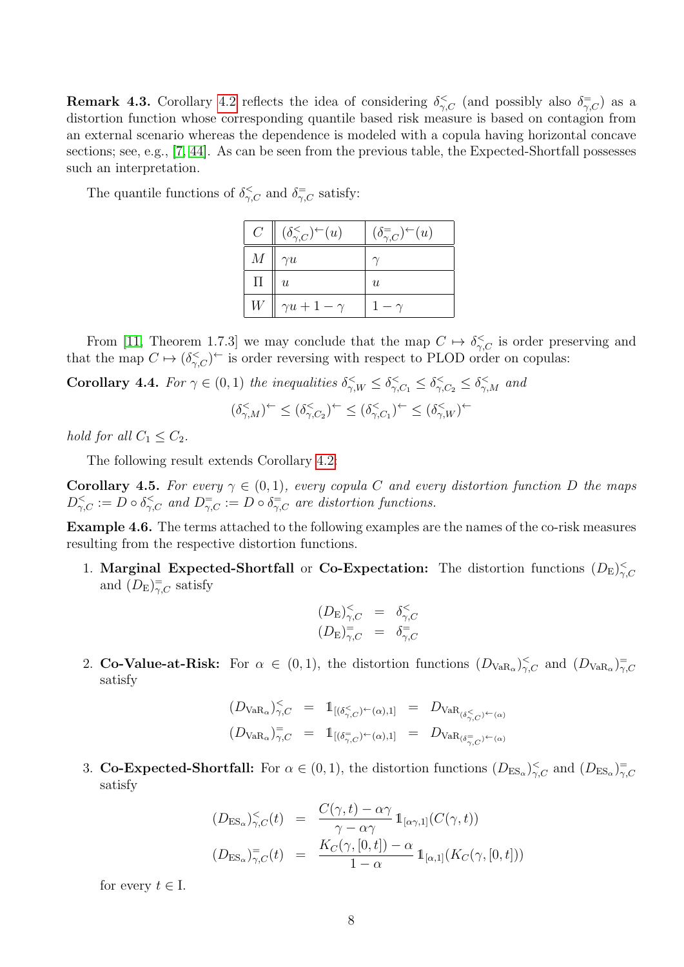**Remark 4.3.** Corollary [4.2](#page-6-0) reflects the idea of considering  $\delta^{\leq}_{\gamma,C}$  (and possibly also  $\delta^{\equiv}_{\gamma,C}$ ) as a distortion function whose corresponding quantile based risk measure is based on contagion from an external scenario whereas the dependence is modeled with a copula having horizontal concave sections; see, e.g., [\[7,](#page-22-18) [44\]](#page-23-5). As can be seen from the previous table, the Expected-Shortfall possesses such an interpretation.

The quantile functions of  $\delta \zeta_c$  and  $\delta \overline{\zeta_c}$  satisfy:

| $C_{-}$            | $\mid (\delta_{\gamma,C}^{\lt} )^{\leftarrow}(u)$ | $(\delta_{\gamma,C}^{\equiv})^{\leftarrow}(u)$ |
|--------------------|---------------------------------------------------|------------------------------------------------|
| M                  | $\gamma u$                                        |                                                |
| $\boldsymbol{\Pi}$ | $\boldsymbol{u}$                                  | u                                              |
| $W_{-}$            | $\gamma u + 1 - \gamma$                           |                                                |

From [\[11,](#page-22-11) Theorem 1.7.3] we may conclude that the map  $C \mapsto \delta \zeta_C$  is order preserving and that the map  $C \mapsto (\delta \zeta_C)^{\leftarrow}$  is order reversing with respect to PLOD order on copulas:

<span id="page-7-1"></span>**Corollary 4.4.** For  $\gamma \in (0,1)$  the inequalities  $\delta_{\gamma,W}^{\leq} \leq \delta_{\gamma,C_1}^{\leq} \leq \delta_{\gamma,C_2}^{\leq} \leq \delta_{\gamma,M}^{\leq}$  and

$$
(\delta_{\gamma,M}^{\le})^\leftarrow \le (\delta_{\gamma,C_2}^{\le})^\leftarrow \le (\delta_{\gamma,C_1}^{\le})^\leftarrow \le (\delta_{\gamma,W}^{\le})^\leftarrow
$$

hold for all  $C_1 \leq C_2$ .

The following result extends Corollary [4.2:](#page-6-0)

<span id="page-7-0"></span>**Corollary 4.5.** For every  $\gamma \in (0,1)$ , every copula C and every distortion function D the maps  $D_{\gamma,C}^{\lt} := D \circ \delta_{\gamma,C}^{\lt}$  and  $D_{\gamma,C}^{\equiv} := D \circ \delta_{\gamma,C}^{\equiv}$  are distortion functions.

Example 4.6. The terms attached to the following examples are the names of the co-risk measures resulting from the respective distortion functions.

1. Marginal Expected-Shortfall or Co-Expectation: The distortion functions  $(D_{\rm E})_{\gamma,C}^{\leq}$ and  $(D_{\mathrm{E}})_{\gamma,C}^{\dagger}$  satisfy

$$
(D_{\mathcal{E}})_{\gamma,C}^{\leq} = \delta_{\gamma,C}^{\leq}
$$
  

$$
(D_{\mathcal{E}})_{\gamma,C}^{\equiv} = \delta_{\gamma,C}^{\equiv}
$$

2. Co-Value-at-Risk: For  $\alpha \in (0,1)$ , the distortion functions  $(D_{VaR_{\alpha}})_{\gamma,C}^{\lt}$  and  $(D_{VaR_{\alpha}})_{\gamma,C}^{\equiv}$ satisfy

$$
(D_{\text{VaR}_{\alpha}})_{\gamma,C}^{\lt} = 1_{[(\delta_{\gamma,C}^{\lt} )^{\leftarrow} (\alpha),1]} = D_{\text{VaR}_{(\delta_{\gamma,C}^{\lt} )^{\leftarrow} (\alpha)}}
$$

$$
(D_{\text{VaR}_{\alpha}})_{\gamma,C}^= 1_{[(\delta_{\gamma,C}^= )^{\leftarrow} (\alpha),1]} = D_{\text{VaR}_{(\delta_{\gamma,C}^= )^{\leftarrow} (\alpha)}}
$$

3. Co-Expected-Shortfall: For  $\alpha \in (0,1)$ , the distortion functions  $(D_{ES_{\alpha}})_{\gamma,C}^{\lt}$  and  $(D_{ES_{\alpha}})_{\gamma,C}^{\equiv}$ satisfy

$$
(D_{\text{ES}_{\alpha}})_{\gamma,C}^{\lt}(t) = \frac{C(\gamma,t) - \alpha\gamma}{\gamma - \alpha\gamma} \mathbb{1}_{[\alpha\gamma,1]}(C(\gamma,t))
$$
  

$$
(D_{\text{ES}_{\alpha}})_{\gamma,C}^=(t) = \frac{K_C(\gamma,[0,t]) - \alpha}{1 - \alpha} \mathbb{1}_{[\alpha,1]}(K_C(\gamma,[0,t]))
$$

for every  $t \in I$ .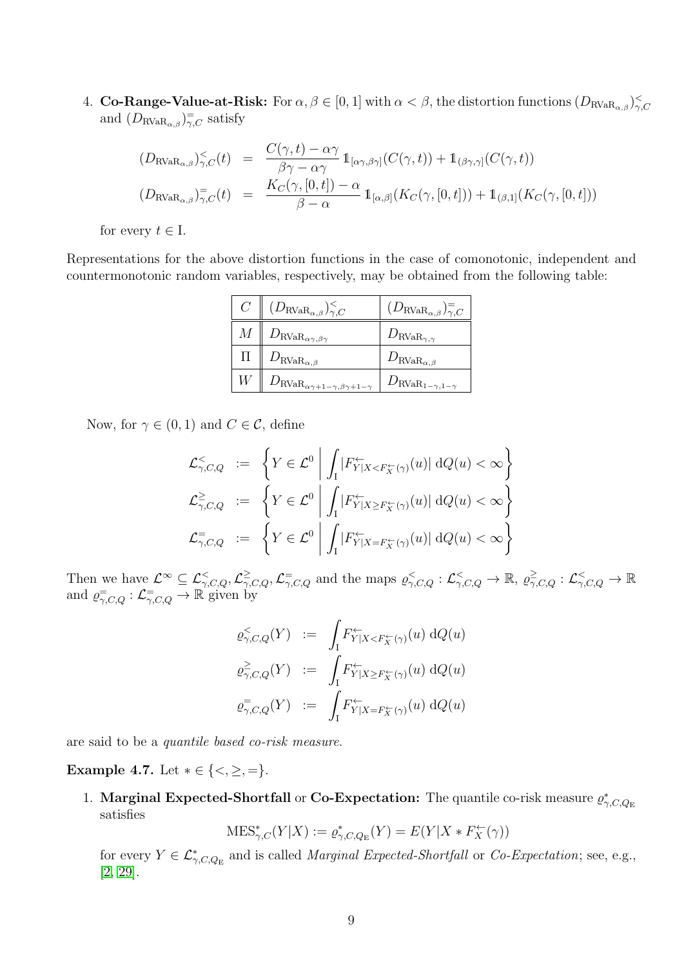4. **Co-Range-Value-at-Risk:** For  $\alpha, \beta \in [0, 1]$  with  $\alpha < \beta$ , the distortion functions  $(D_{\text{RVaR}_{\alpha,\beta}})_{\gamma,C}^{\leq}$ and  $(D_{\text{RVaR}_{\alpha,\beta}})_{\gamma,C}^{\dagger}$  satisfy

$$
(D_{\text{RVaR}_{\alpha,\beta}})_{\gamma,C}^{\lt}(t) = \frac{C(\gamma,t) - \alpha\gamma}{\beta\gamma - \alpha\gamma} 1_{[\alpha\gamma,\beta\gamma]}(C(\gamma,t)) + 1_{(\beta\gamma,\gamma]}(C(\gamma,t))
$$
  

$$
(D_{\text{RVaR}_{\alpha,\beta}})_{\gamma,C}^{\equiv}(t) = \frac{K_C(\gamma,[0,t]) - \alpha}{\beta - \alpha} 1_{[\alpha,\beta]}(K_C(\gamma,[0,t])) + 1_{(\beta,1]}(K_C(\gamma,[0,t]))
$$

for every  $t \in I$ .

Representations for the above distortion functions in the case of comonotonic, independent and countermonotonic random variables, respectively, may be obtained from the following table:

| $C \parallel (D_{\text{RVaR}_{\alpha,\beta}})_{\gamma,C}^{\lt}$ | $(D_{\mathrm{RVaR}_{\alpha,\beta}})_{\gamma,C}^=$ |
|-----------------------------------------------------------------|---------------------------------------------------|
| $M \parallel D_{\mathrm{RVaR}_{\alpha\gamma,\beta\gamma}}$      | $D_{\text{RVaR}_{\gamma,\gamma}}$                 |
| $D_{\mathrm{RVaR}_{\alpha,\beta}}$                              | $D_{\mathrm{RVaR}_{\alpha,\beta}}$                |
| $D_{\text{RVaR}_{\alpha\gamma+1-\gamma,\beta\gamma+1-\gamma}}$  | $D_{\text{RVaR}_{1-\gamma,1-\gamma}}$             |

Now, for  $\gamma \in (0,1)$  and  $C \in \mathcal{C}$ , define

$$
\mathcal{L}_{\gamma,C,Q}^{\leq} := \left\{ Y \in \mathcal{L}^0 \middle| \int_{I} |F_{Y|X \leq F_X^{\leftarrow}(\gamma)}^{\leftarrow}(u)| \, dQ(u) < \infty \right\}
$$
\n
$$
\mathcal{L}_{\gamma,C,Q}^{\geq} := \left\{ Y \in \mathcal{L}^0 \middle| \int_{I} |F_{Y|X \geq F_X^{\leftarrow}(\gamma)}^{\leftarrow}(u)| \, dQ(u) < \infty \right\}
$$
\n
$$
\mathcal{L}_{\gamma,C,Q}^{\equiv} := \left\{ Y \in \mathcal{L}^0 \middle| \int_{I} |F_{Y|X = F_X^{\leftarrow}(\gamma)}^{\leftarrow}(u)| \, dQ(u) < \infty \right\}
$$

Then we have  $\mathcal{L}^{\infty} \subseteq \mathcal{L}^{<}_{\gamma,C,Q}, \mathcal{L}^{\geq}_{\gamma,C,Q}, \mathcal{L}^{\equiv}_{\gamma,C,Q}$  and the maps  $\varrho^{<}_{\gamma,C,Q} : \mathcal{L}^{<}_{\gamma,C,Q} \to \mathbb{R}, \varrho^{\geq}_{\gamma,C,Q} : \mathcal{L}^{<}_{\gamma,C,Q} \to \mathbb{R}$ and  $\varrho_{\gamma,C,Q}^{-} : \mathcal{L}_{\gamma,C,Q}^{-} \to \mathbb{R}$  given by

$$
\varrho_{\gamma,C,Q}^{\lt}(Y) := \int_I F_{Y|X < F_X^{\leftarrow}(\gamma)}^{\lt} (u) \, dQ(u)
$$
  

$$
\varrho_{\gamma,C,Q}^{\geq}(Y) := \int_I F_{Y|X \geq F_X^{\leftarrow}(\gamma)}^{\lt} (u) \, dQ(u)
$$
  

$$
\varrho_{\gamma,C,Q}^{\equiv}(Y) := \int_I F_{Y|X = F_X^{\leftarrow}(\gamma)}^{\leftarrow}(u) \, dQ(u)
$$

are said to be a quantile based co-risk measure.

<span id="page-8-0"></span>Example 4.7. Let  $* \in \{<,\geq,=\}.$ 

1. Marginal Expected-Shortfall or Co-Expectation: The quantile co-risk measure  $\varrho_{\gamma,C,Q_E}^*$ satisfies

$$
\text{MES}^*_{\gamma,C}(Y|X) := \varrho^*_{\gamma,C,Q_{\mathcal{E}}}(Y) = E(Y|X * F_X^\leftarrow(\gamma))
$$

for every  $Y \in \mathcal{L}_{\gamma,C,Q_{\text{E}}}^*$  and is called *Marginal Expected-Shortfall* or *Co-Expectation*; see, e.g., [\[2,](#page-22-5) [29\]](#page-23-0).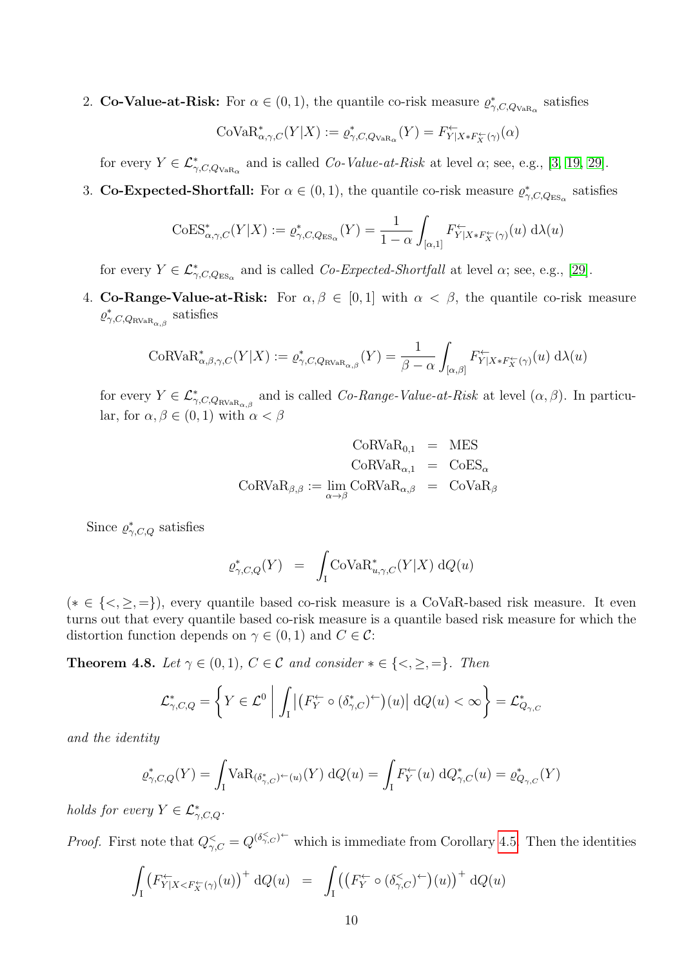2. Co-Value-at-Risk: For  $\alpha \in (0,1)$ , the quantile co-risk measure  $\varrho_{\gamma,C,Q_{VaR_{\alpha}}}^*$  satisfies

$$
\mathrm{CoVaR}_{\alpha,\gamma,C}^*(Y|X) := \varrho^*_{\gamma,C,Q_{\mathrm{VaR}_{\alpha}}}(Y) = F_{Y|X*F_X^{\leftarrow}(\gamma)}^{\leftarrow}(\alpha)
$$

for every  $Y \in \mathcal{L}^*_{\gamma, C, Q_{\text{VaR}_{\alpha}}}$  and is called *Co-Value-at-Risk* at level  $\alpha$ ; see, e.g., [\[3,](#page-22-0) [19,](#page-22-1) [29\]](#page-23-0).

3. Co-Expected-Shortfall: For  $\alpha \in (0,1)$ , the quantile co-risk measure  $\varrho_{\gamma,C,Q_{ES_{\alpha}}}^*$  satisfies

$$
\mathrm{CoES}^*_{\alpha,\gamma,C}(Y|X) := \varrho^*_{\gamma,C,Q_{\mathrm{ES}_\alpha}}(Y) = \frac{1}{1-\alpha} \int_{[\alpha,1]} F_{Y|X*F_X^{\leftarrow}(\gamma)}^{\leftarrow}(u) \, d\lambda(u)
$$

for every  $Y \in \mathcal{L}_{\gamma,C,Q_{\text{ES}_{\alpha}}}^{*}$  and is called *Co-Expected-Shortfall* at level  $\alpha$ ; see, e.g., [\[29\]](#page-23-0).

4. **Co-Range-Value-at-Risk:** For  $\alpha, \beta \in [0, 1]$  with  $\alpha < \beta$ , the quantile co-risk measure  $\varrho^*_{\gamma,C,Q_{\text{RVaR}}_{\alpha,\beta}}$  satisfies

$$
\text{CoRVaR}_{\alpha,\beta,\gamma,C}^*(Y|X) := \varrho_{\gamma,C,Q_{\text{RVaR}_{\alpha,\beta}}^*}(Y) = \frac{1}{\beta - \alpha} \int_{[\alpha,\beta]} F_{Y|X*F_X^{\leftarrow}(\gamma)}^{\leftarrow}(u) d\lambda(u)
$$

for every  $Y \in \mathcal{L}_{\gamma,C,Q_{\text{RVaR}_{\alpha,\beta}}}^*$  and is called *Co-Range-Value-at-Risk* at level  $(\alpha,\beta)$ . In particular, for  $\alpha, \beta \in (0,1)$  with  $\alpha < \beta$ 

$$
\begin{array}{rcl} \text{CoRVaR}_{0,1} & = & \text{MES} \\ \text{CoRVaR}_{\alpha,1} & = & \text{CoES}_{\alpha} \\ \text{CoRVaR}_{\beta,\beta} & := & \lim_{\alpha \to \beta} \text{CoRVaR}_{\alpha,\beta} & = & \text{CoVaR}_{\beta} \end{array}
$$

Since  $\varrho^*_{\gamma,C,Q}$  satisfies

$$
\varrho^*_{\gamma, C, Q}(Y) = \int_{\mathcal{I}} \text{CoVaR}^*_{u, \gamma, C}(Y|X) \, dQ(u)
$$

(∗ ∈ {<, ≥, =}), every quantile based co-risk measure is a CoVaR-based risk measure. It even turns out that every quantile based co-risk measure is a quantile based risk measure for which the distortion function depends on  $\gamma \in (0,1)$  and  $C \in \mathcal{C}$ :

<span id="page-9-0"></span>**Theorem 4.8.** Let  $\gamma \in (0,1)$ ,  $C \in \mathcal{C}$  and consider  $* \in \{<,\geq,=\}$ . Then

$$
\mathcal{L}_{\gamma,C,Q}^* = \left\{ Y \in \mathcal{L}^0 \middle| \int_{\mathcal{I}} \left| \left( F_Y^{\leftarrow} \circ (\delta_{\gamma,C}^*)^{\leftarrow} \right) (u) \right| \, dQ(u) < \infty \right. \right\} = \mathcal{L}_{Q_{\gamma,C}}^*
$$

and the identity

$$
\varrho^*_{\gamma,C,Q}(Y) = \int_{\mathcal{I}} \text{VaR}_{(\delta^*_{\gamma,C})^\leftarrow(u)}(Y) \, \mathrm{d}Q(u) = \int_{\mathcal{I}} F_Y^\leftarrow(u) \, \mathrm{d}Q^*_{\gamma,C}(u) = \varrho^*_{Q_{\gamma,C}}(Y)
$$

holds for every  $Y \in \mathcal{L}_{\gamma,C,Q}^*$ .

*Proof.* First note that  $Q_{\gamma,C}^{\lt} = Q^{(\delta_{\gamma,C}^{\lt}c)^{\leftarrow}}$  which is immediate from Corollary [4.5.](#page-7-0) Then the identities

$$
\int_{I} \left( F_{Y|X < F_X^{\leftarrow}(\gamma)}(u) \right)^{+} \mathrm{d}Q(u) = \int_{I} \left( \left( F_Y^{\leftarrow} \circ (\delta_{\gamma,C}^{<})^{\leftarrow} \right)(u) \right)^{+} \mathrm{d}Q(u) \right)
$$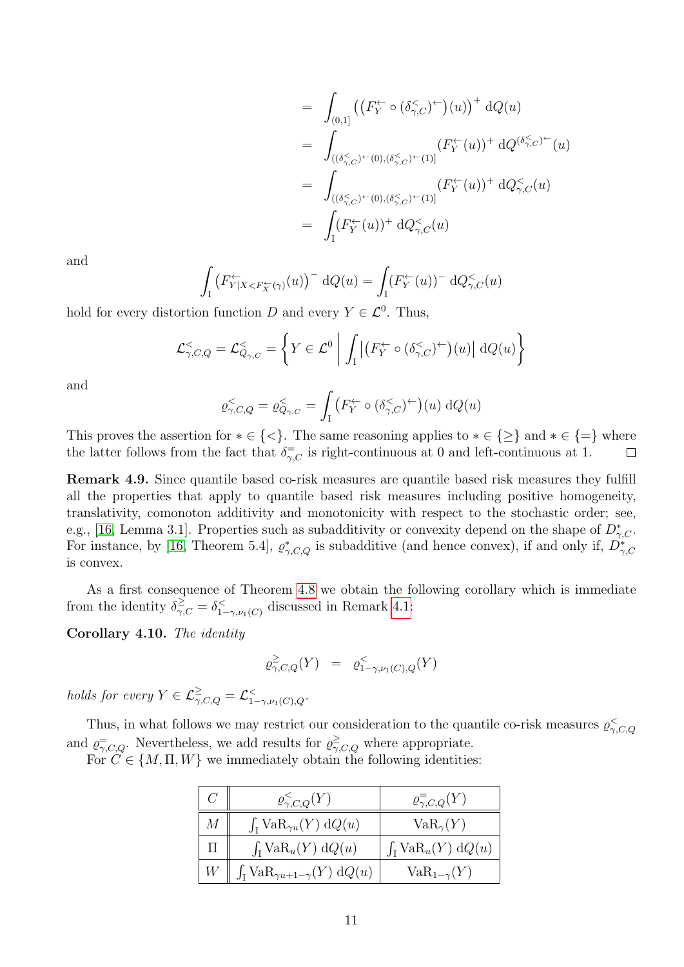$$
= \int_{(0,1]} \left( \left( F_Y^{\leftarrow} \circ (\delta_{\gamma,C}^{\lt} )^{\leftarrow} \right) (u) \right)^+ dQ(u) \right)
$$
  
\n
$$
= \int_{((\delta_{\gamma,C}^{\lt} )^{\leftarrow}(0), (\delta_{\gamma,C}^{\lt} )^{\leftarrow}(1)]} (F_Y^{\leftarrow} (u))^+ dQ^{(\delta_{\gamma,C}^{\lt} )^{\leftarrow}} (u)
$$
  
\n
$$
= \int_{((\delta_{\gamma,C}^{\lt} )^{\leftarrow}(0), (\delta_{\gamma,C}^{\lt} )^{\leftarrow}(1)]} (F_Y^{\leftarrow} (u))^+ dQ_{\gamma,C}^{\lt} (u)
$$
  
\n
$$
= \int_{I} (F_Y^{\leftarrow} (u))^+ dQ_{\gamma,C}^{\lt} (u)
$$

and

$$
\int_{I} \left( F_{Y|X < F_X^{\leftarrow}(\gamma)}^{\leftarrow}(u) \right)^{-} \mathrm{d}Q(u) = \int_{I} \left( F_Y^{\leftarrow}(u) \right)^{-} \mathrm{d}Q_{\gamma,C}^{\le}(u) \right)
$$

hold for every distortion function D and every  $Y \in \mathcal{L}^0$ . Thus,

$$
\mathcal{L}_{\gamma,C,Q}^{\leq} = \mathcal{L}_{Q_{\gamma,C}}^{\leq} = \left\{ Y \in \mathcal{L}^0 \middle| \int_{\mathcal{I}} \left| \left( F_Y^{\leftarrow} \circ (\delta_{\gamma,C}^{\leq} )^{\leftarrow} \right) (u) \right| dQ(u) \right\} \right\}
$$

and

$$
\varrho_{\gamma,C,Q}^{\lt} = \varrho_{Q_{\gamma,C}}^{\lt} = \int_{I} \left( F_{Y}^{\leftarrow} \circ (\delta_{\gamma,C}^{\lt} )^{\leftarrow} \right) (u) \, dQ(u)
$$

This proves the assertion for  $*\in \{<\}$ . The same reasoning applies to  $*\in \{\geq\}$  and  $*\in \{=\}$  where the latter follows from the fact that  $\delta_{\gamma,C}^{\equiv}$  is right-continuous at 0 and left-continuous at 1.  $\Box$ 

Remark 4.9. Since quantile based co-risk measures are quantile based risk measures they fulfill all the properties that apply to quantile based risk measures including positive homogeneity, translativity, comonoton additivity and monotonicity with respect to the stochastic order; see, e.g., [\[16,](#page-22-7) Lemma 3.1]. Properties such as subadditivity or convexity depend on the shape of  $D_{\gamma,C}^*$ . For instance, by [\[16,](#page-22-7) Theorem 5.4],  $\varrho_{\gamma,C,Q}^*$  is subadditive (and hence convex), if and only if,  $D_{\gamma,C}^*$ is convex.

As a first consequence of Theorem [4.8](#page-9-0) we obtain the following corollary which is immediate from the identity  $\delta^{\geq}_{\gamma,C} = \delta^{\leq}_{1}$ . 1−γ,ν1(C) discussed in Remark [4.1:](#page-6-1)

Corollary 4.10. The identity

$$
\varrho^{\geq}_{\gamma,C,Q}(Y) \ = \ \varrho^<_{1-\gamma,\nu_1(C),Q}(Y)
$$

holds for every  $Y \in \mathcal{L}^{\geq}_{\gamma, C, Q} = \mathcal{L}^{\lt}_{1-\gamma, \nu_1(C), Q}.$ 

Thus, in what follows we may restrict our consideration to the quantile co-risk measures  $\varrho_{\gamma,C,Q}^{\lt}$ and  $\varrho_{\gamma,C,Q}^{\equiv}$ . Nevertheless, we add results for  $\varrho_{\gamma,C,Q}^{\ge}$  where appropriate.

For  $C \in \{M, \Pi, W\}$  we immediately obtain the following identities:

|             | $\varrho^{\lt}_{\gamma,C,Q}(Y)$                    | $\varrho^{-}_{\gamma,C,Q}(Y)$  |
|-------------|----------------------------------------------------|--------------------------------|
| $M_{\odot}$ | $\int_I \text{VaR}_{\gamma u}(Y) dQ(u)$            | $VaR_{\gamma}(Y)$              |
| $\Pi$       | $\int_I \text{VaR}_u(Y) dQ(u)$                     | $\int_I \text{VaR}_u(Y) dQ(u)$ |
| W           | $\int_{I} \text{VaR}_{\gamma u+1-\gamma}(Y) dQ(u)$ | $VaR_{1-\gamma}(Y)$            |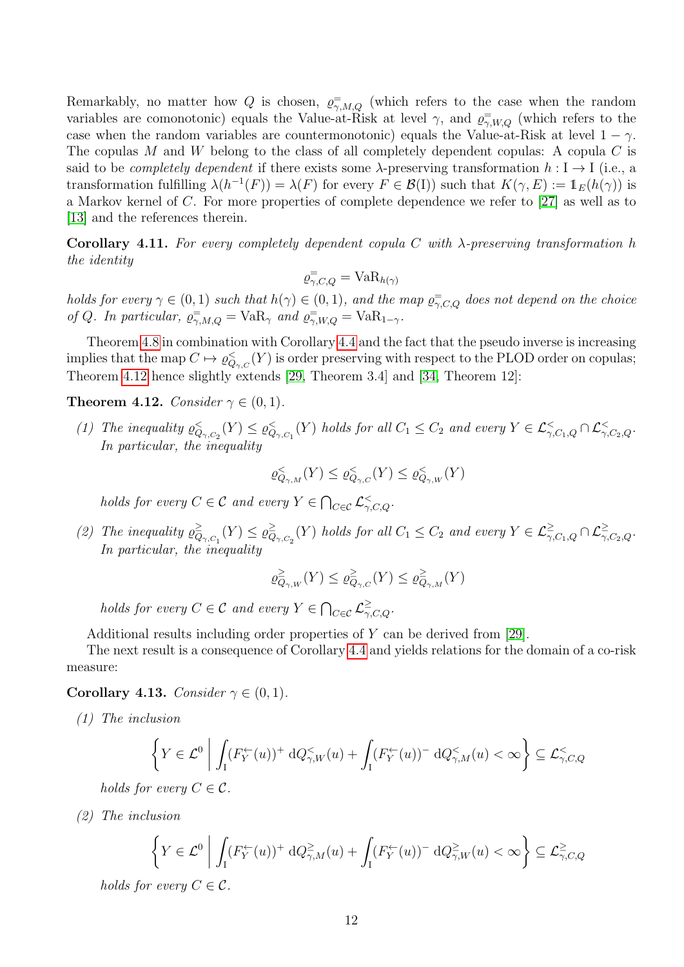Remarkably, no matter how Q is chosen,  $\varrho_{\gamma,M,Q}^{\equiv}$  (which refers to the case when the random variables are comonotonic) equals the Value-at-Risk at level  $\gamma$ , and  $\varrho_{\gamma,W,Q}^{\equiv}$  (which refers to the case when the random variables are countermonotonic) equals the Value-at-Risk at level  $1 - \gamma$ . The copulas M and W belong to the class of all completely dependent copulas: A copula  $C$  is said to be *completely dependent* if there exists some  $\lambda$ -preserving transformation  $h : I \to I$  (i.e., a transformation fulfilling  $\lambda(h^{-1}(F)) = \lambda(F)$  for every  $F \in \mathcal{B}(I)$  such that  $K(\gamma, E) := \mathbb{1}_E(h(\gamma))$  is a Markov kernel of C. For more properties of complete dependence we refer to [\[27\]](#page-23-16) as well as to [\[13\]](#page-22-19) and the references therein.

Corollary 4.11. For every completely dependent copula C with  $\lambda$ -preserving transformation h the identity

$$
\varrho_{\gamma,C,Q}^{\equiv} = \text{VaR}_{h(\gamma)}
$$

holds for every  $\gamma \in (0,1)$  such that  $h(\gamma) \in (0,1)$ , and the map  $\varrho_{\gamma,C,Q}^{\pm}$  does not depend on the choice of Q. In particular,  $\varrho_{\gamma,M,Q}^{\equiv} = \text{VaR}_{\gamma}$  and  $\varrho_{\gamma,W,Q}^{\equiv} = \text{VaR}_{1-\gamma}$ .

Theorem [4.8](#page-9-0) in combination with Corollary [4.4](#page-7-1) and the fact that the pseudo inverse is increasing implies that the map  $C \mapsto \varrho_{Q_{\gamma,C}}^{\lt} (Y)$  is order preserving with respect to the PLOD order on copulas; Theorem [4.12](#page-11-0) hence slightly extends [\[29,](#page-23-0) Theorem 3.4] and [\[34,](#page-23-1) Theorem 12]:

#### <span id="page-11-0"></span>**Theorem 4.12.** Consider  $\gamma \in (0, 1)$ .

(1) The inequality  $\varrho_{Q_{\gamma,C_2}}^{\leq}(Y) \leq \varrho_{Q_{\gamma,C_1}}^{\leq}(Y)$  holds for all  $C_1 \leq C_2$  and every  $Y \in \mathcal{L}_{\gamma,C_1,Q}^{\leq} \cap \mathcal{L}_{\gamma,C_2,Q}^{\leq}$ . In particular, the inequality

$$
\varrho^<_{Q_{\gamma,M}}(Y) \leq \varrho^<_{Q_{\gamma,C}}(Y) \leq \varrho^<_{Q_{\gamma,W}}(Y)
$$

holds for every  $C \in \mathcal{C}$  and every  $Y \in \bigcap_{C \in \mathcal{C}} \mathcal{L}_{\gamma, C, Q}^{\lt}$ .

(2) The inequality  $\rho_{\Omega}^{\geq}$  $\frac{\geq}{Q_{\gamma,C_1}}(Y) \leq \varrho_Q^{\geq}$  $\sum_{Q_{\gamma,C_2}}^{\geq}(Y)$  holds for all  $C_1 \leq C_2$  and every  $Y \in \mathcal{L}^{\geq}_{\gamma,C_1,Q} \cap \mathcal{L}^{\geq}_{\gamma,C_2,Q}$ . In particular, the inequality

$$
\varrho^{\geq}_{Q_{\gamma,W}}(Y) \leq \varrho^{\geq}_{Q_{\gamma,C}}(Y) \leq \varrho^{\geq}_{Q_{\gamma,M}}(Y)
$$

holds for every  $C \in \mathcal{C}$  and every  $Y \in \bigcap_{C \in \mathcal{C}} \mathcal{L}^{\geq}_{\gamma, C, Q}.$ 

Additional results including order properties of Y can be derived from [\[29\]](#page-23-0).

The next result is a consequence of Corollary [4.4](#page-7-1) and yields relations for the domain of a co-risk measure:

#### Corollary 4.13. Consider  $\gamma \in (0,1)$ .

(1) The inclusion

$$
\left\{ Y \in \mathcal{L}^0 \; \middle| \; \int_I (F_Y^{\leftarrow}(u))^+ \, \mathrm{d}Q_{\gamma,W}^{\leq}(u) + \int_I (F_Y^{\leftarrow}(u))^-\, \mathrm{d}Q_{\gamma,M}^{\leq}(u) < \infty \right) \subseteq \mathcal{L}_{\gamma,C,Q}^{\leq}
$$

holds for every  $C \in \mathcal{C}$ .

(2) The inclusion

$$
\left\{Y\in \mathcal{L}^0\;\middle|\; \int_\mathrm{I} (F_Y^\leftarrow(u))^+\,\mathrm{d}Q_{\gamma,M}^{\geq}(u)+\int_\mathrm{I} (F_Y^\leftarrow(u))^-\,\mathrm{d}Q_{\gamma,W}^{\geq}(u)<\infty\right\}\subseteq \mathcal{L}^{\geq}_{\gamma,C,Q}\right\}
$$

holds for every  $C \in \mathcal{C}$ .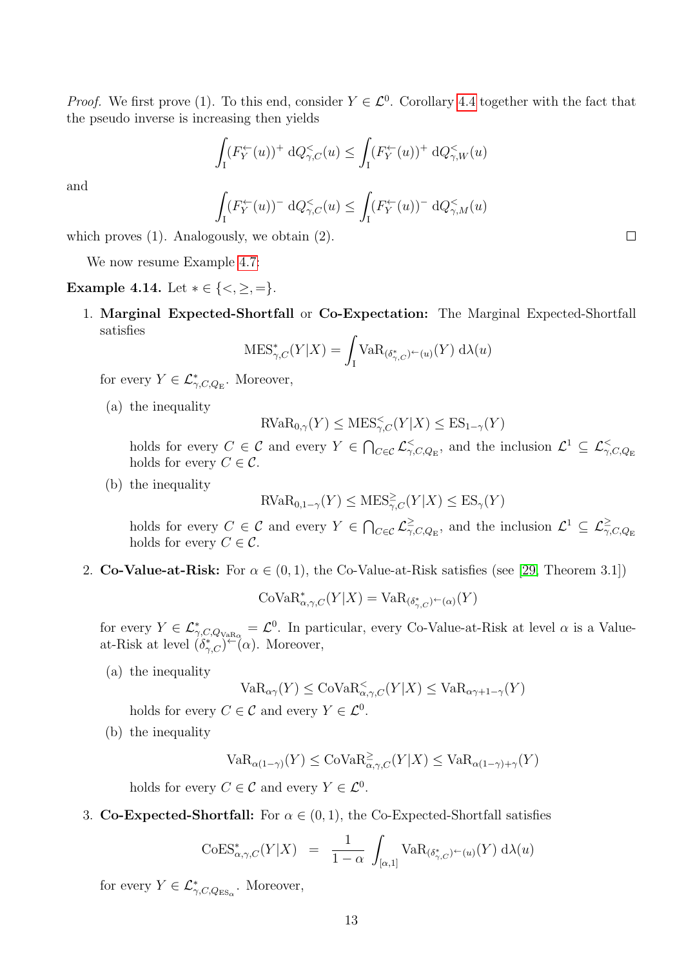*Proof.* We first prove (1). To this end, consider  $Y \in \mathcal{L}^0$ . Corollary [4.4](#page-7-1) together with the fact that the pseudo inverse is increasing then yields

$$
\int_{I} (F_{Y}^{\leftarrow}(u))^{+} \, \mathrm{d}Q_{\gamma,C}^{<}(u) \le \int_{I} (F_{Y}^{\leftarrow}(u))^{+} \, \mathrm{d}Q_{\gamma,W}^{<}(u)
$$

and

$$
\int_{I} (F_Y^{\leftarrow}(u))^-\,\mathrm{d} Q_{\gamma,C}^{\le}(u) \le \int_{I} (F_Y^{\leftarrow}(u))^-\,\mathrm{d} Q_{\gamma,M}^{\le}(u)
$$

which proves (1). Analogously, we obtain (2).

We now resume Example [4.7:](#page-8-0)

Example 4.14. Let  $* \in \{<, \geq, =\}.$ 

1. Marginal Expected-Shortfall or Co-Expectation: The Marginal Expected-Shortfall satisfies

$$
\text{MES}^*_{\gamma,C}(Y|X) = \int_Y \text{VaR}_{(\delta^*_{\gamma,C})^\leftarrow(u)}(Y) \, d\lambda(u)
$$

for every  $Y \in \mathcal{L}_{\gamma,C,Q_{\mathrm{E}}}^*$ . Moreover,

(a) the inequality

$$
\text{RVaR}_{0,\gamma}(Y) \leq \text{MES}_{\gamma,C}^<(Y|X) \leq \text{ES}_{1-\gamma}(Y)
$$

holds for every  $C \in \mathcal{C}$  and every  $Y \in \bigcap_{C \in \mathcal{C}} \mathcal{L}^{\leq}_{\gamma, C, Q_{\mathrm{E}}},$  and the inclusion  $\mathcal{L}^1 \subseteq \mathcal{L}^{\leq}_{\gamma, C, Q_{\mathrm{E}}}$ holds for every  $C \in \mathcal{C}$ .

(b) the inequality

$$
RVaR_{0,1-\gamma}(Y) \leq MES^{\geq}_{\gamma,C}(Y|X) \leq ES_{\gamma}(Y)
$$

holds for every  $C \in \mathcal{C}$  and every  $Y \in \bigcap_{C \in \mathcal{C}} \mathcal{L}_{\gamma}^{\geq 0}$  $\frac{\ge}{\gamma, C, Q_{\rm E}}$ , and the inclusion  $\mathcal{L}^1 \subseteq \mathcal{L}^{\ge}_{\gamma, C, Q_{\rm E}}$ holds for every  $C \in \mathcal{C}$ .

2. Co-Value-at-Risk: For  $\alpha \in (0,1)$ , the Co-Value-at-Risk satisfies (see [\[29,](#page-23-0) Theorem 3.1])

$$
\mathrm{CoVaR}_{\alpha,\gamma,C}^*(Y|X) = \mathrm{VaR}_{(\delta_{\gamma,C}^*)^\leftarrow(\alpha)}(Y)
$$

for every  $Y \in \mathcal{L}_{\gamma, C, Q_{\text{VaR}_{\alpha}}}^* = \mathcal{L}^0$ . In particular, every Co-Value-at-Risk at level  $\alpha$  is a Valueat-Risk at level  $(\delta_{\gamma,C}^*)^{\leftarrow}(\alpha)$ . Moreover,

(a) the inequality

$$
\text{VaR}_{\alpha\gamma}(Y) \leq \text{CoVaR}_{\alpha,\gamma,C}^{\lt}(Y|X) \leq \text{VaR}_{\alpha\gamma+1-\gamma}(Y)
$$

holds for every  $C \in \mathcal{C}$  and every  $Y \in \mathcal{L}^0$ .

(b) the inequality

$$
\text{VaR}_{\alpha(1-\gamma)}(Y) \leq \text{CoVaR}_{\alpha,\gamma,C}^{\geq}(Y|X) \leq \text{VaR}_{\alpha(1-\gamma)+\gamma}(Y)
$$

holds for every  $C \in \mathcal{C}$  and every  $Y \in \mathcal{L}^0$ .

3. Co-Expected-Shortfall: For  $\alpha \in (0,1)$ , the Co-Expected-Shortfall satisfies

$$
\mathrm{CoES}^*_{\alpha,\gamma,C}(Y|X) = \frac{1}{1-\alpha} \int_{[\alpha,1]} \mathrm{VaR}_{(\delta^*_{\gamma,C})^\leftarrow(u)}(Y) \, \mathrm{d}\lambda(u)
$$

for every  $Y \in \mathcal{L}_{\gamma, C, Q_{\text{ES}_\alpha}}^*$ . Moreover,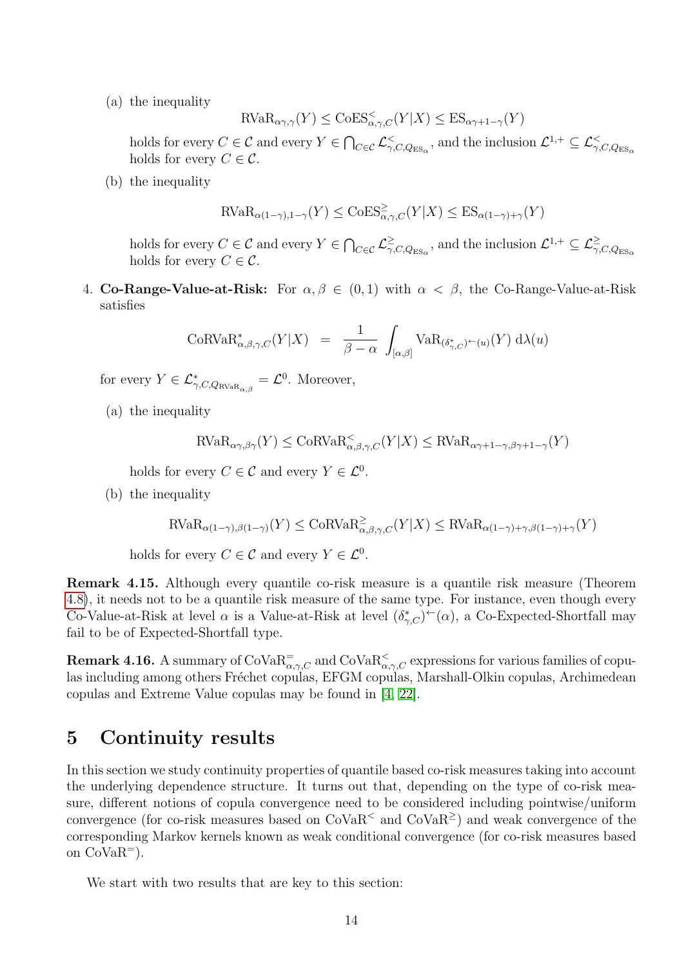(a) the inequality

$$
\text{RVaR}_{\alpha\gamma,\gamma}(Y) \le \text{CoES}_{\alpha,\gamma,C}^{\lt}(Y|X) \le \text{ES}_{\alpha\gamma+1-\gamma}(Y)
$$

holds for every  $C \in \mathcal{C}$  and every  $Y \in \bigcap_{C \in \mathcal{C}} \mathcal{L}^{\lt}_{\gamma, C, Q_{\text{ES}_\alpha}}$ , and the inclusion  $\mathcal{L}^{1,+} \subseteq \mathcal{L}^{\lt}_{\gamma, C, Q_{\text{ES}_\alpha}}$ holds for every  $C \in \mathcal{C}$ .

(b) the inequality

$$
\text{RVaR}_{\alpha(1-\gamma),1-\gamma}(Y) \le \text{CoES}^{\ge}_{\alpha,\gamma,C}(Y|X) \le \text{ES}_{\alpha(1-\gamma)+\gamma}(Y)
$$

holds for every  $C \in \mathcal{C}$  and every  $Y \in \bigcap_{C \in \mathcal{C}} \mathcal{L}_{\gamma, \zeta}^{\geq 0}$  $\frac{\ge}{\gamma, C, Q_{\rm ES_\alpha}}$ , and the inclusion  $\mathcal{L}^{1,+} \subseteq \mathcal{L}^{\ge}_{\gamma, C, Q_{\rm ES_\alpha}}$ holds for every  $C \in \mathcal{C}$ .

4. Co-Range-Value-at-Risk: For  $\alpha, \beta \in (0,1)$  with  $\alpha < \beta$ , the Co-Range-Value-at-Risk satisfies

$$
\text{CoRVaR}_{\alpha,\beta,\gamma,C}^*(Y|X) = \frac{1}{\beta-\alpha} \int_{[\alpha,\beta]} \text{VaR}_{(\delta_{\gamma,C}^*)^{\leftarrow}(u)}(Y) d\lambda(u)
$$

for every  $Y \in \mathcal{L}^*_{\gamma, C, Q_{\text{RVaR}}_{\alpha,\beta}} = \mathcal{L}^0$ . Moreover,

(a) the inequality

$$
\text{RVaR}_{\alpha\gamma,\beta\gamma}(Y) \le \text{CoRVaR}_{\alpha,\beta,\gamma,C}^<(Y|X) \le \text{RVaR}_{\alpha\gamma+1-\gamma,\beta\gamma+1-\gamma}(Y)
$$

holds for every  $C \in \mathcal{C}$  and every  $Y \in \mathcal{L}^0$ .

(b) the inequality

$$
\text{RVaR}_{\alpha(1-\gamma),\beta(1-\gamma)}(Y) \leq \text{CoRVaR}_{\alpha,\beta,\gamma,C}^{\geq}(Y|X) \leq \text{RVaR}_{\alpha(1-\gamma)+\gamma,\beta(1-\gamma)+\gamma}(Y)
$$

holds for every  $C \in \mathcal{C}$  and every  $Y \in \mathcal{L}^0$ .

Remark 4.15. Although every quantile co-risk measure is a quantile risk measure (Theorem [4.8\)](#page-9-0), it needs not to be a quantile risk measure of the same type. For instance, even though every Co-Value-at-Risk at level  $\alpha$  is a Value-at-Risk at level  $(\delta_{\gamma,C}^*)^\leftarrow(\alpha)$ , a Co-Expected-Shortfall may fail to be of Expected-Shortfall type.

**Remark 4.16.** A summary of  $\text{CoVaR}_{\alpha,\gamma,C}^=$  and  $\text{CoVaR}_{\alpha,\gamma,C}^<$  expressions for various families of copulas including among others Fréchet copulas, EFGM copulas, Marshall-Olkin copulas, Archimedean copulas and Extreme Value copulas may be found in [\[4,](#page-22-2) [22\]](#page-22-4).

# <span id="page-13-0"></span>5 Continuity results

In this section we study continuity properties of quantile based co-risk measures taking into account the underlying dependence structure. It turns out that, depending on the type of co-risk measure, different notions of copula convergence need to be considered including pointwise/uniform convergence (for co-risk measures based on  $\text{CoVaR}^<$  and  $\text{CoVaR}^>$ ) and weak convergence of the corresponding Markov kernels known as weak conditional convergence (for co-risk measures based on  $CoVaR^{-}$ ).

We start with two results that are key to this section: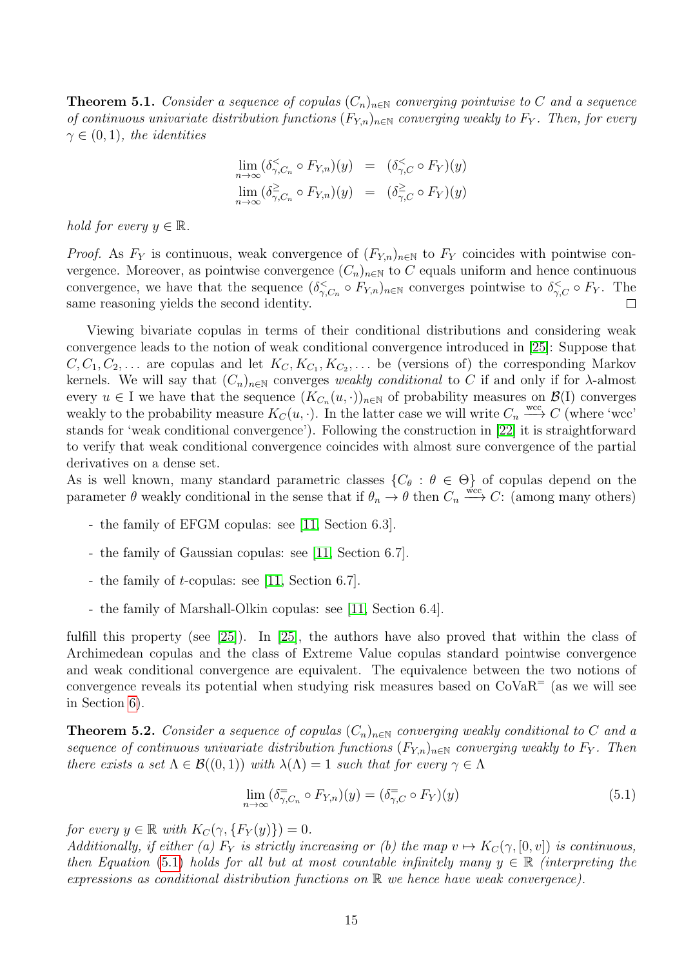<span id="page-14-0"></span>**Theorem 5.1.** Consider a sequence of copulas  $(C_n)_{n\in\mathbb{N}}$  converging pointwise to C and a sequence of continuous univariate distribution functions  $(F_{Y,n})_{n\in\mathbb{N}}$  converging weakly to  $F_Y$ . Then, for every  $\gamma \in (0,1)$ , the identities

$$
\lim_{n \to \infty} (\delta^{\lt}_{\gamma, C_n} \circ F_{Y,n})(y) = (\delta^{\lt}_{\gamma, C} \circ F_Y)(y)
$$
  

$$
\lim_{n \to \infty} (\delta^{\gt}_{\gamma, C_n} \circ F_{Y,n})(y) = (\delta^{\gt}_{\gamma, C} \circ F_Y)(y)
$$

hold for every  $y \in \mathbb{R}$ .

*Proof.* As  $F_Y$  is continuous, weak convergence of  $(F_{Y,n})_{n\in\mathbb{N}}$  to  $F_Y$  coincides with pointwise convergence. Moreover, as pointwise convergence  $(C_n)_{n\in\mathbb{N}}$  to C equals uniform and hence continuous convergence, we have that the sequence  $(\delta \zeta_{\gamma,C_n} \circ F_{Y,n})_{n \in \mathbb{N}}$  converges pointwise to  $\delta \zeta_{\gamma,C} \circ F_Y$ . The same reasoning yields the second identity.  $\Box$ 

Viewing bivariate copulas in terms of their conditional distributions and considering weak convergence leads to the notion of weak conditional convergence introduced in [\[25\]](#page-23-6): Suppose that  $C, C_1, C_2, \ldots$  are copulas and let  $K_C, K_{C_1}, K_{C_2}, \ldots$  be (versions of) the corresponding Markov kernels. We will say that  $(C_n)_{n\in\mathbb{N}}$  converges weakly conditional to C if and only if for  $\lambda$ -almost every  $u \in I$  we have that the sequence  $(K_{C_n}(u, \cdot))_{n \in \mathbb{N}}$  of probability measures on  $\mathcal{B}(I)$  converges weakly to the probability measure  $K_C(u, \cdot)$ . In the latter case we will write  $C_n \stackrel{\text{wcc}}{\longrightarrow} C$  (where 'wcc' stands for 'weak conditional convergence'). Following the construction in [\[22\]](#page-22-4) it is straightforward to verify that weak conditional convergence coincides with almost sure convergence of the partial derivatives on a dense set.

As is well known, many standard parametric classes  $\{C_{\theta} : \theta \in \Theta\}$  of copulas depend on the parameter  $\theta$  weakly conditional in the sense that if  $\theta_n \to \theta$  then  $C_n \xrightarrow{wcc} C$ : (among many others)

- the family of EFGM copulas: see [\[11,](#page-22-11) Section 6.3].
- the family of Gaussian copulas: see [\[11,](#page-22-11) Section 6.7].
- the family of t-copulas: see [\[11,](#page-22-11) Section 6.7].
- the family of Marshall-Olkin copulas: see [\[11,](#page-22-11) Section 6.4].

fulfill this property (see [\[25\]](#page-23-6)). In [\[25\]](#page-23-6), the authors have also proved that within the class of Archimedean copulas and the class of Extreme Value copulas standard pointwise convergence and weak conditional convergence are equivalent. The equivalence between the two notions of convergence reveals its potential when studying risk measures based on  $CoVaR<sup>=</sup>$  (as we will see in Section [6\)](#page-17-0).

<span id="page-14-1"></span>**Theorem 5.2.** Consider a sequence of copulas  $(C_n)_{n\in\mathbb{N}}$  converging weakly conditional to C and a sequence of continuous univariate distribution functions  $(F_{Y,n})_{n\in\mathbb{N}}$  converging weakly to  $F_Y$ . Then there exists a set  $\Lambda \in \mathcal{B}((0,1))$  with  $\lambda(\Lambda) = 1$  such that for every  $\gamma \in \Lambda$ 

<span id="page-14-2"></span>
$$
\lim_{n \to \infty} (\delta_{\gamma, C_n}^{\equiv} \circ F_{Y,n})(y) = (\delta_{\gamma, C}^{\equiv} \circ F_Y)(y)
$$
\n(5.1)

for every  $y \in \mathbb{R}$  with  $K_C(\gamma, \{F_Y(y)\}) = 0$ .

Additionally, if either (a)  $F_Y$  is strictly increasing or (b) the map  $v \mapsto K_C(\gamma, [0, v])$  is continuous, then Equation [\(5.1\)](#page-14-2) holds for all but at most countable infinitely many  $y \in \mathbb{R}$  (interpreting the expressions as conditional distribution functions on R we hence have weak convergence).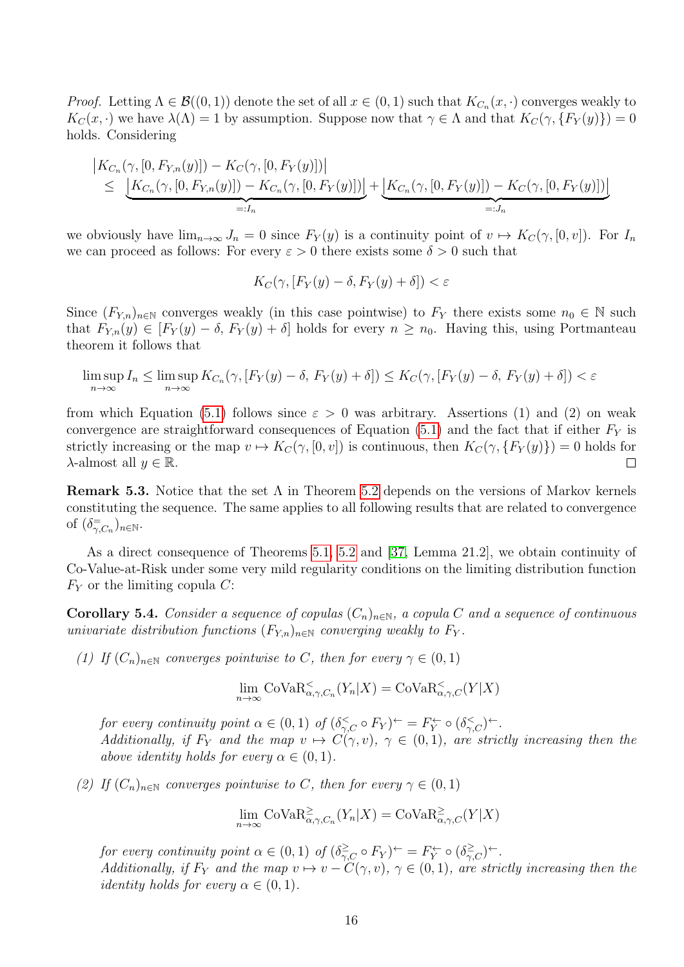*Proof.* Letting  $\Lambda \in \mathcal{B}((0,1))$  denote the set of all  $x \in (0,1)$  such that  $K_{C_n}(x, \cdot)$  converges weakly to  $K_C(x, \cdot)$  we have  $\lambda(\Lambda) = 1$  by assumption. Suppose now that  $\gamma \in \Lambda$  and that  $K_C(\gamma, \{F_Y(y)\}) = 0$ holds. Considering

$$
\begin{aligned}\n&|K_{C_n}(\gamma,[0, F_{Y,n}(y)]) - K_C(\gamma,[0, F_Y(y)])| \\
&\leq \underbrace{|K_{C_n}(\gamma,[0, F_{Y,n}(y)]) - K_{C_n}(\gamma,[0, F_Y(y)])|}_{=:J_n} + \underbrace{|K_{C_n}(\gamma,[0, F_Y(y)]) - K_C(\gamma,[0, F_Y(y)])|}_{=:J_n}\n\end{aligned}
$$

we obviously have  $\lim_{n\to\infty} J_n = 0$  since  $F_Y(y)$  is a continuity point of  $v \mapsto K_C(\gamma, [0, v])$ . For  $I_n$ we can proceed as follows: For every  $\varepsilon > 0$  there exists some  $\delta > 0$  such that

$$
K_C(\gamma, [F_Y(y) - \delta, F_Y(y) + \delta]) < \varepsilon
$$

Since  $(F_{Y,n})_{n\in\mathbb{N}}$  converges weakly (in this case pointwise) to  $F_Y$  there exists some  $n_0 \in \mathbb{N}$  such that  $F_{Y,n}(y) \in [F_Y(y) - \delta, F_Y(y) + \delta]$  holds for every  $n \geq n_0$ . Having this, using Portmanteau theorem it follows that

$$
\limsup_{n \to \infty} I_n \le \limsup_{n \to \infty} K_{C_n}(\gamma, [F_Y(y) - \delta, F_Y(y) + \delta]) \le K_C(\gamma, [F_Y(y) - \delta, F_Y(y) + \delta]) < \varepsilon
$$

from which Equation [\(5.1\)](#page-14-2) follows since  $\varepsilon > 0$  was arbitrary. Assertions (1) and (2) on weak convergence are straightforward consequences of Equation  $(5.1)$  and the fact that if either  $F<sub>Y</sub>$  is strictly increasing or the map  $v \mapsto K_C(\gamma, [0, v])$  is continuous, then  $K_C(\gamma, {F_Y(y)}\) = 0$  holds for  $\lambda$ -almost all  $y \in \mathbb{R}$ .  $\Box$ 

**Remark 5.3.** Notice that the set  $\Lambda$  in Theorem [5.2](#page-14-1) depends on the versions of Markov kernels constituting the sequence. The same applies to all following results that are related to convergence of  $(\delta_{\gamma,C_n}^{\equiv})_{n\in\mathbb{N}}$ .

As a direct consequence of Theorems [5.1,](#page-14-0) [5.2](#page-14-1) and [\[37,](#page-23-17) Lemma 21.2], we obtain continuity of Co-Value-at-Risk under some very mild regularity conditions on the limiting distribution function  $F<sub>Y</sub>$  or the limiting copula C:

<span id="page-15-0"></span>**Corollary 5.4.** Consider a sequence of copulas  $(C_n)_{n\in\mathbb{N}}$ , a copula C and a sequence of continuous univariate distribution functions  $(F_{Y,n})_{n\in\mathbb{N}}$  converging weakly to  $F_Y$ .

(1) If  $(C_n)_{n\in\mathbb{N}}$  converges pointwise to C, then for every  $\gamma \in (0,1)$ 

$$
\lim_{n \to \infty} \text{CoVaR}_{\alpha, \gamma, C_n}^{\lt}(Y_n | X) = \text{CoVaR}_{\alpha, \gamma, C}^{\lt}(Y | X)
$$

for every continuity point  $\alpha \in (0,1)$  of  $(\delta \zeta_C \circ F_Y)^{\leftarrow} = F_Y^{\leftarrow} \circ (\delta \zeta_C)^{\leftarrow}$ . Additionally, if  $F_Y$  and the map  $v \mapsto C(\gamma, v)$ ,  $\gamma \in (0, 1)$ , are strictly increasing then the above identity holds for every  $\alpha \in (0,1)$ .

(2) If  $(C_n)_{n\in\mathbb{N}}$  converges pointwise to C, then for every  $\gamma \in (0,1)$ 

$$
\lim_{n \to \infty} \text{CoVaR}_{\alpha, \gamma, C_n}^{\geq}(Y_n | X) = \text{CoVaR}_{\alpha, \gamma, C}^{\geq}(Y | X)
$$

for every continuity point  $\alpha \in (0,1)$  of  $(\delta^{\geq}_{\gamma,C} \circ F_Y)^{\leftarrow} = F_Y^{\leftarrow} \circ (\delta^{\geq}_{\gamma,C})^{\leftarrow}$ . Additionally, if  $F_Y$  and the map  $v \mapsto v - C(\gamma, v)$ ,  $\gamma \in (0, 1)$ , are strictly increasing then the *identity holds for every*  $\alpha \in (0,1)$ .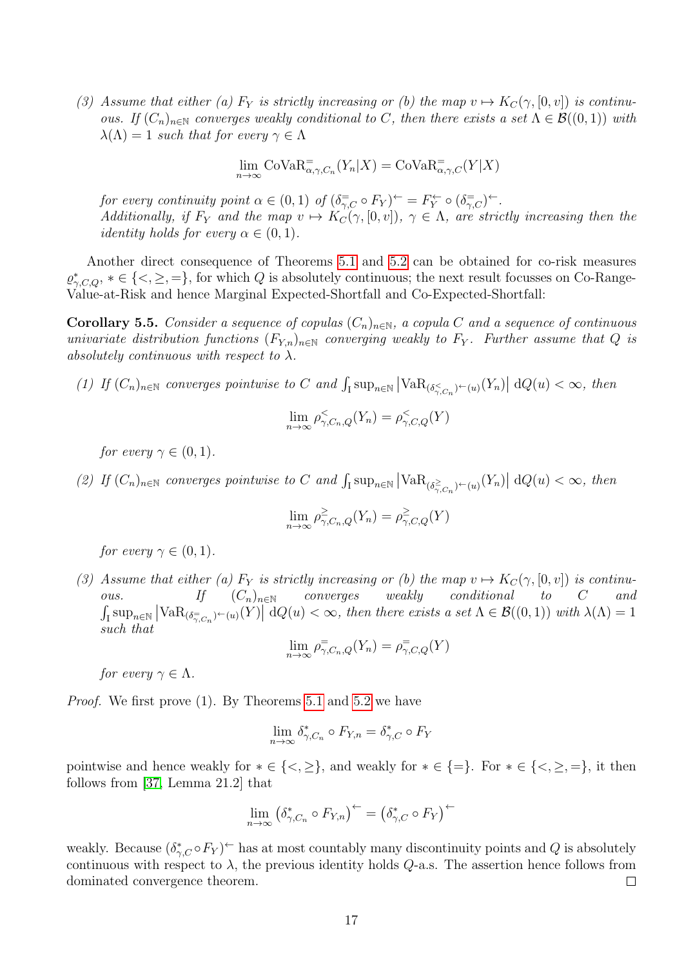(3) Assume that either (a)  $F_Y$  is strictly increasing or (b) the map  $v \mapsto K_C(\gamma, [0, v])$  is continuous. If  $(C_n)_{n\in\mathbb{N}}$  converges weakly conditional to C, then there exists a set  $\Lambda \in \mathcal{B}((0,1))$  with  $\lambda(\Lambda) = 1$  such that for every  $\gamma \in \Lambda$ 

$$
\lim_{n \to \infty} \text{CoVaR}_{\alpha, \gamma, C_n}^=(Y_n | X) = \text{CoVaR}_{\alpha, \gamma, C}^=(Y | X)
$$

for every continuity point  $\alpha \in (0,1)$  of  $(\delta_{\gamma,C}^{\equiv} \circ F_Y)^{\leftarrow} = F_Y^{\leftarrow} \circ (\delta_{\gamma,C}^{\equiv})^{\leftarrow}$ . Additionally, if  $F_Y$  and the map  $v \mapsto K_C(\gamma, [0, v])$ ,  $\gamma \in \Lambda$ , are strictly increasing then the *identity holds for every*  $\alpha \in (0, 1)$ .

Another direct consequence of Theorems [5.1](#page-14-0) and [5.2](#page-14-1) can be obtained for co-risk measures  $\varrho_{\gamma,C,Q}^*, * \in \{<,\geq,=\},$  for which Q is absolutely continuous; the next result focusses on Co-Range-Value-at-Risk and hence Marginal Expected-Shortfall and Co-Expected-Shortfall:

<span id="page-16-0"></span>**Corollary 5.5.** Consider a sequence of copulas  $(C_n)_{n\in\mathbb{N}}$ , a copula C and a sequence of continuous univariate distribution functions  $(F_{Y,n})_{n\in\mathbb{N}}$  converging weakly to  $F_Y$ . Further assume that Q is absolutely continuous with respect to  $\lambda$ .

(1) If  $(C_n)_{n\in\mathbb{N}}$  converges pointwise to C and  $\int_I \sup_{n\in\mathbb{N}} |\text{VaR}_{(\delta_n^{\lt}C_n)}(Y_n)| dQ(u) < \infty$ , then

$$
\lim_{n \to \infty} \rho_{\gamma, C_n, Q}^{\lt}(Y_n) = \rho_{\gamma, C, Q}^{\lt}(Y)
$$

for every  $\gamma \in (0,1)$ .

(2) If  $(C_n)_{n\in\mathbb{N}}$  converges pointwise to C and  $\int_I \sup_{n\in\mathbb{N}} |\text{VaR}_{(\delta^{\geq}_{\gamma,C_n})^\leftarrow(u)}(Y_n)| dQ(u) < \infty$ , then

$$
\lim_{n \to \infty} \rho_{\gamma, C_n, Q}^{\geq}(Y_n) = \rho_{\gamma, C, Q}^{\geq}(Y)
$$

for every  $\gamma \in (0,1)$ .

(3) Assume that either (a)  $F_Y$  is strictly increasing or (b) the map  $v \mapsto K_C(\gamma, [0, v])$  is continuous. If  $(C_n)_{n\in\mathbb{N}}$  converges weakly conditional to C and  $\int_{\mathcal{I}} \sup_{n \in \mathbb{N}} |\text{VaR}_{(\delta_{\gamma,C_n}^{\pm})^\leftarrow(u)}(Y)| \, dQ(u) < \infty$ , then there exists a set  $\Lambda \in \mathcal{B}((0,1))$  with  $\lambda(\Lambda) = 1$ such that

$$
\lim_{n \to \infty} \rho_{\gamma, C_n, Q}^-(Y_n) = \rho_{\gamma, C, Q}^-(Y)
$$

for every  $\gamma \in \Lambda$ .

Proof. We first prove (1). By Theorems [5.1](#page-14-0) and [5.2](#page-14-1) we have

$$
\lim_{n \to \infty} \delta_{\gamma, C_n}^* \circ F_{Y,n} = \delta_{\gamma, C}^* \circ F_Y
$$

pointwise and hence weakly for  $* \in \{<,\geq\}$ , and weakly for  $* \in \{=\}$ . For  $* \in \{<,\geq,=\}$ , it then follows from [\[37,](#page-23-17) Lemma 21.2] that

$$
\lim_{n \to \infty} (\delta_{\gamma, C_n}^* \circ F_{Y,n})^{\leftarrow} = (\delta_{\gamma, C}^* \circ F_Y)^{\leftarrow}
$$

weakly. Because  $(\delta_{\gamma,C}^* \circ F_Y)^{\leftarrow}$  has at most countably many discontinuity points and Q is absolutely continuous with respect to  $\lambda$ , the previous identity holds  $Q$ -a.s. The assertion hence follows from dominated convergence theorem.  $\Box$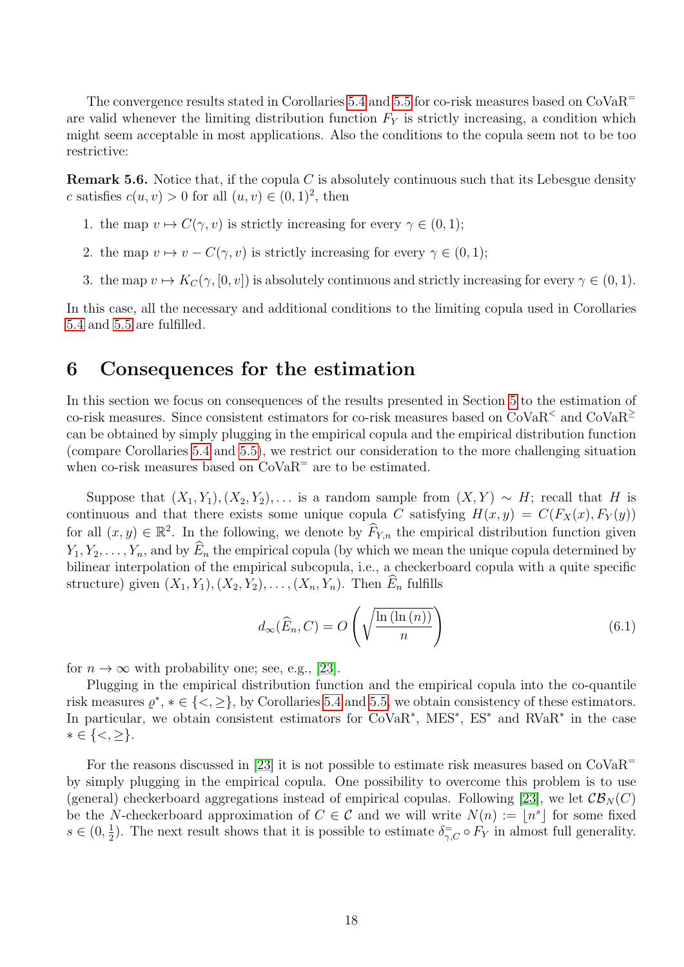The convergence results stated in Corollaries [5.4](#page-15-0) and [5.5](#page-16-0) for co-risk measures based on  $\text{CoVaR}^=$ are valid whenever the limiting distribution function  $F_Y$  is strictly increasing, a condition which might seem acceptable in most applications. Also the conditions to the copula seem not to be too restrictive:

**Remark 5.6.** Notice that, if the copula C is absolutely continuous such that its Lebesgue density c satisfies  $c(u, v) > 0$  for all  $(u, v) \in (0, 1)^2$ , then

- 1. the map  $v \mapsto C(\gamma, v)$  is strictly increasing for every  $\gamma \in (0, 1)$ ;
- 2. the map  $v \mapsto v C(\gamma, v)$  is strictly increasing for every  $\gamma \in (0, 1)$ ;
- 3. the map  $v \mapsto K_C(\gamma, [0, v])$  is absolutely continuous and strictly increasing for every  $\gamma \in (0, 1)$ .

In this case, all the necessary and additional conditions to the limiting copula used in Corollaries [5.4](#page-15-0) and [5.5](#page-16-0) are fulfilled.

## <span id="page-17-0"></span>6 Consequences for the estimation

In this section we focus on consequences of the results presented in Section [5](#page-13-0) to the estimation of co-risk measures. Since consistent estimators for co-risk measures based on  $CoVaR<sup>2</sup>$  and  $CoVaR<sup>2</sup>$ can be obtained by simply plugging in the empirical copula and the empirical distribution function (compare Corollaries [5.4](#page-15-0) and [5.5\)](#page-16-0), we restrict our consideration to the more challenging situation when co-risk measures based on  $CoVaR^=$  are to be estimated.

Suppose that  $(X_1, Y_1), (X_2, Y_2), \ldots$  is a random sample from  $(X, Y) \sim H$ ; recall that H is continuous and that there exists some unique copula C satisfying  $H(x, y) = C(F_X(x), F_Y(y))$ for all  $(x, y) \in \mathbb{R}^2$ . In the following, we denote by  $\widehat{F}_{Y,n}$  the empirical distribution function given  $Y_1, Y_2, \ldots, Y_n$ , and by  $\widehat{E}_n$  the empirical copula (by which we mean the unique copula determined by bilinear interpolation of the empirical subcopula, i.e., a checkerboard copula with a quite specific structure) given  $(X_1, Y_1), (X_2, Y_2), \ldots, (X_n, Y_n)$ . Then  $E_n$  fulfills

<span id="page-17-1"></span>
$$
d_{\infty}(\widehat{E}_n, C) = O\left(\sqrt{\frac{\ln\left(\ln\left(n\right)\right)}{n}}\right)
$$
\n(6.1)

for  $n \to \infty$  with probability one; see, e.g., [\[23\]](#page-23-7).

Plugging in the empirical distribution function and the empirical copula into the co-quantile risk measures  $\varrho^*, * \in \{<,\geq\},$  by Corollaries [5.4](#page-15-0) and [5.5,](#page-16-0) we obtain consistency of these estimators. In particular, we obtain consistent estimators for CoVaR<sup>\*</sup>, MES<sup>\*</sup>, ES<sup>\*</sup> and RVaR<sup>\*</sup> in the case  $* \in \{<,\geq\}.$ 

For the reasons discussed in [\[23\]](#page-23-7) it is not possible to estimate risk measures based on  $CoVaR^=$ by simply plugging in the empirical copula. One possibility to overcome this problem is to use (general) checkerboard aggregations instead of empirical copulas. Following [\[23\]](#page-23-7), we let  $\mathcal{CB}_N(C)$ be the N-checkerboard approximation of  $C \in \mathcal{C}$  and we will write  $N(n) := \lfloor n^s \rfloor$  for some fixed  $s \in (0, \frac{1}{2})$  $\frac{1}{2}$ ). The next result shows that it is possible to estimate  $\delta_{\gamma,C}^{\pm} \circ F_Y$  in almost full generality.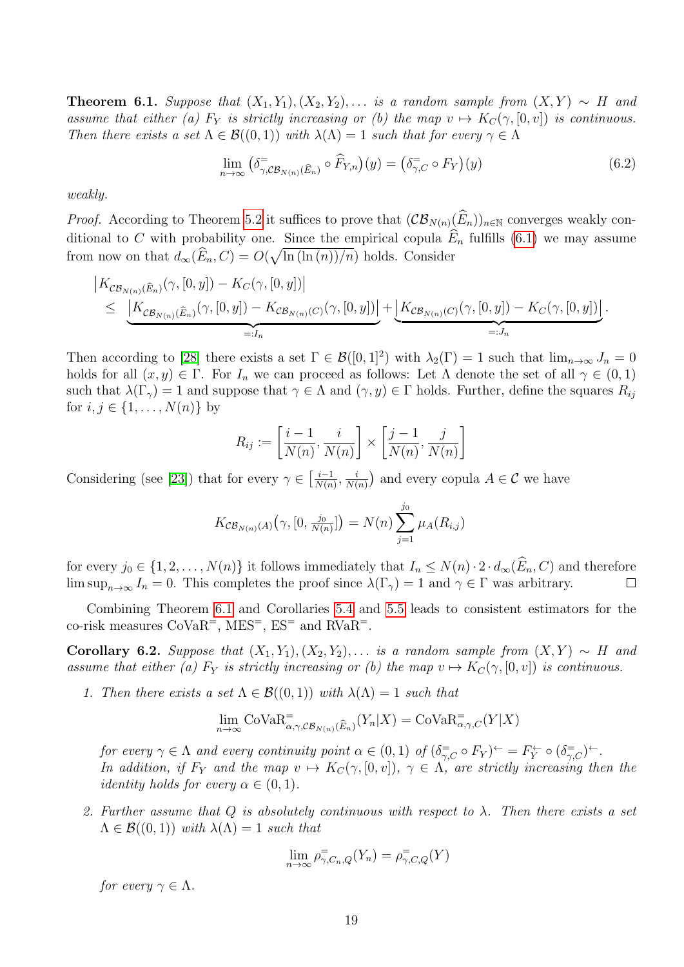<span id="page-18-0"></span>**Theorem 6.1.** Suppose that  $(X_1, Y_1), (X_2, Y_2), \ldots$  is a random sample from  $(X, Y) \sim H$  and assume that either (a)  $F_Y$  is strictly increasing or (b) the map  $v \mapsto K_C(\gamma, [0, v])$  is continuous. Then there exists a set  $\Lambda \in \mathcal{B}((0,1))$  with  $\lambda(\Lambda) = 1$  such that for every  $\gamma \in \Lambda$ 

$$
\lim_{n \to \infty} \left( \delta_{\gamma, \mathcal{CB}_{N(n)}(\widehat{E}_n)} \circ \widehat{F}_{Y,n} \right) (y) = \left( \delta_{\gamma, C}^{\equiv} \circ F_Y \right) (y) \tag{6.2}
$$

weakly.

*Proof.* According to Theorem [5.2](#page-14-1) it suffices to prove that  $(\mathcal{CB}_{N(n)}(\widehat{E}_n))_{n\in\mathbb{N}}$  converges weakly conditional to C with probability one. Since the empirical copula  $\widehat{E}_n$  fulfills [\(6.1\)](#page-17-1) we may assume from now on that  $d_{\infty}(\widehat{E}_n, C) = O(\sqrt{\ln(\ln(n))/n})$  holds. Consider

$$
\begin{aligned}\n\left| K_{\mathcal{CB}_{N(n)}(\widehat{E}_n)}(\gamma,[0,y]) - K_C(\gamma,[0,y]) \right| \\
&\leq \underbrace{\left| K_{\mathcal{CB}_{N(n)}(\widehat{E}_n)}(\gamma,[0,y]) - K_{\mathcal{CB}_{N(n)}(C)}(\gamma,[0,y]) \right|}_{=:I_n} + \underbrace{\left| K_{\mathcal{CB}_{N(n)}(C)}(\gamma,[0,y]) - K_C(\gamma,[0,y]) \right|}_{=:J_n}.\n\end{aligned}
$$

Then according to [\[28\]](#page-23-18) there exists a set  $\Gamma \in \mathcal{B}([0,1]^2)$  with  $\lambda_2(\Gamma) = 1$  such that  $\lim_{n\to\infty} J_n = 0$ holds for all  $(x, y) \in \Gamma$ . For  $I_n$  we can proceed as follows: Let  $\Lambda$  denote the set of all  $\gamma \in (0, 1)$ such that  $\lambda(\Gamma_{\gamma}) = 1$  and suppose that  $\gamma \in \Lambda$  and  $(\gamma, y) \in \Gamma$  holds. Further, define the squares  $R_{ij}$ for  $i, j \in \{1, ..., N(n)\}\$  by

$$
R_{ij} := \left[\frac{i-1}{N(n)}, \frac{i}{N(n)}\right] \times \left[\frac{j-1}{N(n)}, \frac{j}{N(n)}\right]
$$

Considering (see [\[23\]](#page-23-7)) that for every  $\gamma \in \left[\frac{i-1}{N(n)}\right]$  $\frac{i-1}{N(n)}, \frac{i}{N(n)}$  $\frac{i}{N(n)}$  and every copula  $A \in \mathcal{C}$  we have

$$
K_{\mathcal{CB}_{N(n)}(A)}(\gamma,[0,\tfrac{j_0}{N(n)}])=N(n)\sum_{j=1}^{j_0}\mu_A(R_{i,j})
$$

for every  $j_0 \in \{1, 2, ..., N(n)\}$  it follows immediately that  $I_n \leq N(n) \cdot 2 \cdot d_\infty(\widehat{E}_n, C)$  and therefore  $\limsup_{n \to \infty} I_n = 0$ . This completes the proof since  $\lambda(\Gamma_\gamma) = 1$  and  $\gamma \in \Gamma$  was arbitrary. lim sup<sub>n→∞</sub>  $I_n = 0$ . This completes the proof since  $\lambda(\Gamma_\gamma) = 1$  and  $\gamma \in \Gamma$  was arbitrary.

Combining Theorem [6.1](#page-18-0) and Corollaries [5.4](#page-15-0) and [5.5](#page-16-0) leads to consistent estimators for the co-risk measures  $CoVaR^{-}$ , MES<sup>-</sup>, ES<sup>-</sup> and RVaR<sup>-</sup>.

<span id="page-18-1"></span>Corollary 6.2. Suppose that  $(X_1, Y_1), (X_2, Y_2), \ldots$  is a random sample from  $(X, Y) \sim H$  and assume that either (a)  $F_Y$  is strictly increasing or (b) the map  $v \mapsto K_C(\gamma, [0, v])$  is continuous.

1. Then there exists a set  $\Lambda \in \mathcal{B}((0,1))$  with  $\lambda(\Lambda) = 1$  such that

$$
\lim_{n \to \infty} \text{CoVaR}_{\alpha, \gamma, \mathcal{CB}_{N(n)}(\widehat{E}_n)}^-(Y_n | X) = \text{CoVaR}_{\alpha, \gamma, C}^-(Y | X)
$$

for every  $\gamma \in \Lambda$  and every continuity point  $\alpha \in (0,1)$  of  $(\delta^{\pm}_{\gamma,C} \circ F_Y)^{\leftarrow} = F_Y^{\leftarrow} \circ (\delta^{\pm}_{\gamma,C})^{\leftarrow}$ . In addition, if  $F_Y$  and the map  $v \mapsto K_C(\gamma, [0, v])$ ,  $\gamma \in \Lambda$ , are strictly increasing then the *identity holds for every*  $\alpha \in (0,1)$ .

2. Further assume that  $Q$  is absolutely continuous with respect to  $\lambda$ . Then there exists a set  $\Lambda \in \mathcal{B}((0,1))$  with  $\lambda(\Lambda) = 1$  such that

$$
\lim_{n \to \infty} \rho_{\gamma, C_n, Q}^{\equiv}(Y_n) = \rho_{\gamma, C, Q}^{\equiv}(Y)
$$

for every  $\gamma \in \Lambda$ .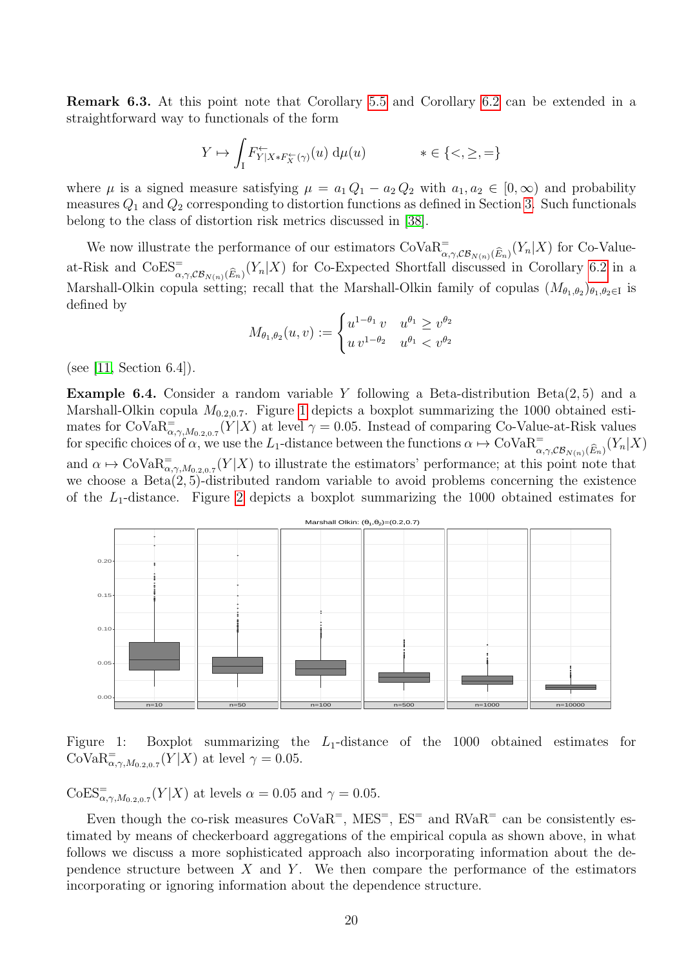Remark 6.3. At this point note that Corollary [5.5](#page-16-0) and Corollary [6.2](#page-18-1) can be extended in a straightforward way to functionals of the form

$$
Y \mapsto \int_I F_{Y|X \ast F_X^{\leftarrow}(\gamma)}^{\leftarrow}(u) d\mu(u) \qquad \ast \in \{<,\geq,=\}
$$

where  $\mu$  is a signed measure satisfying  $\mu = a_1 Q_1 - a_2 Q_2$  with  $a_1, a_2 \in [0, \infty)$  and probability measures  $Q_1$  and  $Q_2$  corresponding to distortion functions as defined in Section [3.](#page-2-0) Such functionals belong to the class of distortion risk metrics discussed in [\[38\]](#page-23-19).

We now illustrate the performance of our estimators  $CovaR^{-}_{\alpha,\gamma,\mathcal{CB}_{N(n)}(\widehat{E}_n)}(Y_n|X)$  for Co-Valueat-Risk and  $\text{CoES}_{\alpha,\gamma,\mathcal{CB}_{N(n)}(\widehat{E}_n)}^{\equiv}(Y_n|X)$  for Co-Expected Shortfall discussed in Corollary [6.2](#page-18-1) in a Marshall-Olkin copula setting; recall that the Marshall-Olkin family of copulas  $(M_{\theta_1,\theta_2})_{\theta_1,\theta_2\in I}$  is defined by

$$
M_{\theta_1, \theta_2}(u, v) := \begin{cases} u^{1 - \theta_1} v & u^{\theta_1} \ge v^{\theta_2} \\ u v^{1 - \theta_2} & u^{\theta_1} < v^{\theta_2} \end{cases}
$$

(see [\[11,](#page-22-11) Section 6.4]).

**Example 6.4.** Consider a random variable Y following a Beta-distribution  $Beta(2, 5)$  and a Marshall-Olkin copula  $M_{0.2,0.7}$ . Figure [1](#page-19-0) depicts a boxplot summarizing the 1000 obtained estimates for  $\text{CoVaR}_{\alpha,\gamma,M_{0.2,0.7}}^=(Y|X)$  at level  $\gamma=0.05$ . Instead of comparing Co-Value-at-Risk values for specific choices of  $\alpha$ , we use the L<sub>1</sub>-distance between the functions  $\alpha \mapsto \text{CoVaR}_{\alpha,\gamma,\mathcal{CB}_{N(n)}(\widehat{E}_n)}^-(Y_n|X)$ and  $\alpha \mapsto \text{Cov}_{{\mathfrak{A}}_{\alpha,\gamma,M_{0.2,0.7}}(Y|X)$  to illustrate the estimators' performance; at this point note that we choose a  $Beta(2, 5)$ -distributed random variable to avoid problems concerning the existence of the  $L_1$ -distance. Figure [2](#page-20-0) depicts a boxplot summarizing the 1000 obtained estimates for



<span id="page-19-0"></span>Figure 1: Boxplot summarizing the  $L_1$ -distance of the 1000 obtained estimates for  $\text{CoVaR}_{\alpha,\gamma,M_{0.2,0.7}}^{\dagger}(Y|X)$  at level  $\gamma=0.05$ .

 $\text{CoES}_{\alpha,\gamma,M_{0.2,0.7}}^{\dagger}(Y|X)$  at levels  $\alpha = 0.05$  and  $\gamma = 0.05$ .

Even though the co-risk measures  $CoVaR^{-}$ ,  $MES^{-}$ ,  $ES^{-}$  and  $RVaR^{-}$  can be consistently estimated by means of checkerboard aggregations of the empirical copula as shown above, in what follows we discuss a more sophisticated approach also incorporating information about the dependence structure between  $X$  and  $Y$ . We then compare the performance of the estimators incorporating or ignoring information about the dependence structure.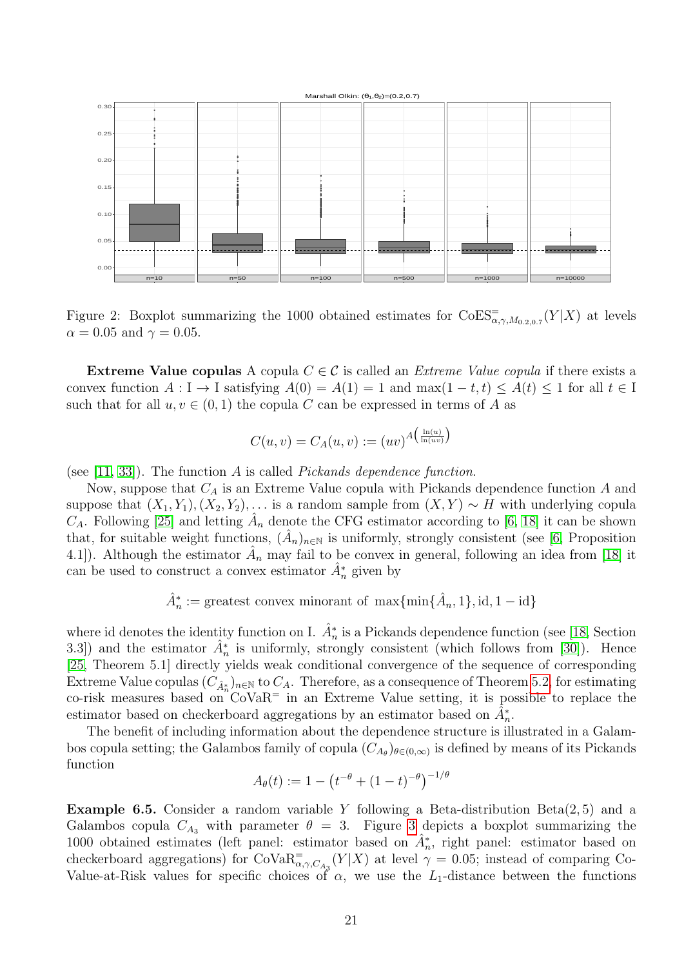

<span id="page-20-0"></span>Figure 2: Boxplot summarizing the 1000 obtained estimates for  $\text{CoES}^{-}_{\alpha,\gamma,M_{0.2,0.7}}(Y|X)$  at levels  $\alpha = 0.05$  and  $\gamma = 0.05$ .

Extreme Value copulas A copula  $C \in \mathcal{C}$  is called an *Extreme Value copula* if there exists a convex function  $A: I \to I$  satisfying  $A(0) = A(1) = 1$  and  $\max(1-t,t) \leq A(t) \leq 1$  for all  $t \in I$ such that for all  $u, v \in (0, 1)$  the copula C can be expressed in terms of A as

$$
C(u,v) = C_A(u,v) := (uv)^{A\left(\frac{\ln(u)}{\ln(uv)}\right)}
$$

(see [\[11,](#page-22-11) [33\]](#page-23-20)). The function A is called *Pickands dependence function*.

Now, suppose that  $C_A$  is an Extreme Value copula with Pickands dependence function  $A$  and suppose that  $(X_1, Y_1), (X_2, Y_2), \ldots$  is a random sample from  $(X, Y) \sim H$  with underlying copula  $C_A$ . Following [\[25\]](#page-23-6) and letting  $\hat{A}_n$  denote the CFG estimator according to [\[6,](#page-22-20) [18\]](#page-22-21) it can be shown that, for suitable weight functions,  $(\hat{A}_n)_{n\in\mathbb{N}}$  is uniformly, strongly consistent (see [\[6,](#page-22-20) Proposition 4.1]). Although the estimator  $\hat{A}_n$  may fail to be convex in general, following an idea from [\[18\]](#page-22-21) it can be used to construct a convex estimator  $\hat{A}_n^*$  given by

$$
\hat{A}_n^* := \text{greatest convex minorant of } \max\{\min\{\hat{A}_n, 1\}, \text{id}, 1 - \text{id}\}
$$

where id denotes the identity function on I.  $\hat{A}_n^*$  is a Pickands dependence function (see [\[18,](#page-22-21) Section 3.3]) and the estimator  $\hat{A}_n^*$  is uniformly, strongly consistent (which follows from [\[30\]](#page-23-21)). Hence [\[25,](#page-23-6) Theorem 5.1] directly yields weak conditional convergence of the sequence of corresponding Extreme Value copulas  $(C_{\hat{A}_n^*})_{n\in\mathbb{N}}$  to  $C_A$ . Therefore, as a consequence of Theorem [5.2,](#page-14-1) for estimating co-risk measures based on  $\text{CoVaR}^=$  in an Extreme Value setting, it is possible to replace the estimator based on checkerboard aggregations by an estimator based on  $\tilde{A}_n^*$ .

The benefit of including information about the dependence structure is illustrated in a Galambos copula setting; the Galambos family of copula  $(C_{A_{\theta}})_{\theta \in (0,\infty)}$  is defined by means of its Pickands function  $\theta$ 

$$
A_{\theta}(t) := 1 - \left(t^{-\theta} + (1-t)^{-\theta}\right)^{-1/\theta}
$$

**Example 6.5.** Consider a random variable Y following a Beta-distribution  $Beta(2, 5)$  and a Galambos copula  $C_{A_3}$  with parameter  $\theta = 3$  $\theta = 3$ . Figure 3 depicts a boxplot summarizing the 1000 obtained estimates (left panel: estimator based on  $\hat{A}_n^*$ , right panel: estimator based on checkerboard aggregations) for  $\text{CoVaR}_{\alpha,\gamma,C_{A_3}}^=(Y|X)$  at level  $\gamma=0.05$ ; instead of comparing Co-Value-at-Risk values for specific choices of  $\alpha$ , we use the L<sub>1</sub>-distance between the functions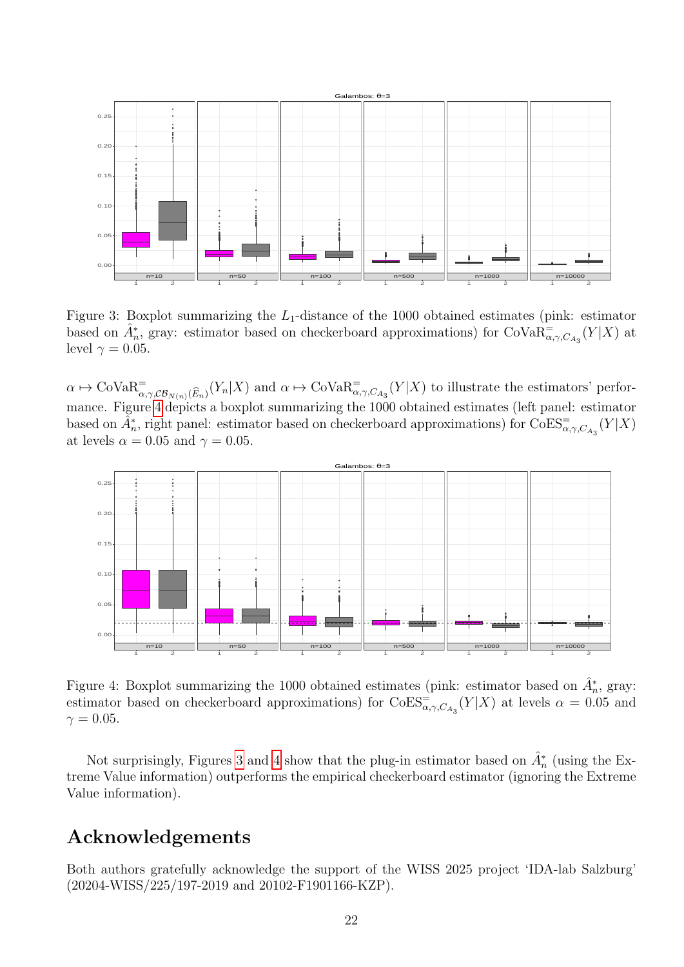

<span id="page-21-0"></span>Figure 3: Boxplot summarizing the  $L_1$ -distance of the 1000 obtained estimates (pink: estimator based on  $\hat{A}_n^*$ , gray: estimator based on checkerboard approximations) for CoVa $\overline{R}_{\alpha,\gamma,C_{A_3}}^=(Y|X)$  at level  $\gamma = 0.05$ .

 $\alpha \mapsto \text{Cov}_{{\mathcal{A}}_{\alpha,\gamma,\mathcal{CB}_{N(n)}}(\widehat{E}_n)}(Y_n|X)$  and  $\alpha \mapsto \text{Cov}_{{\mathcal{A}}_{\alpha,\gamma,C_{A_3}}}(Y|X)$  to illustrate the estimators' performance. Figure [4](#page-21-1) depicts a boxplot summarizing the 1000 obtained estimates (left panel: estimator based on  $\tilde{A}_n^*$ , right panel: estimator based on checkerboard approximations) for  $\text{CoES}_{\alpha,\gamma,C_{A_3}}^{-}(Y|X)$ at levels  $\alpha = 0.05$  and  $\gamma = 0.05$ .



<span id="page-21-1"></span>Figure 4: Boxplot summarizing the 1000 obtained estimates (pink: estimator based on  $\hat{A}_n^*$ , gray: estimator based on checkerboard approximations) for  $\text{CoES}^{\equiv}_{\alpha,\gamma,C_{A_3}}(Y|X)$  at levels  $\alpha = 0.05$  and  $\gamma = 0.05$ .

Not surprisingly, Figures [3](#page-21-0) and [4](#page-21-1) show that the plug-in estimator based on  $\hat{A}_n^*$  (using the Extreme Value information) outperforms the empirical checkerboard estimator (ignoring the Extreme Value information).

# Acknowledgements

Both authors gratefully acknowledge the support of the WISS 2025 project 'IDA-lab Salzburg' (20204-WISS/225/197-2019 and 20102-F1901166-KZP).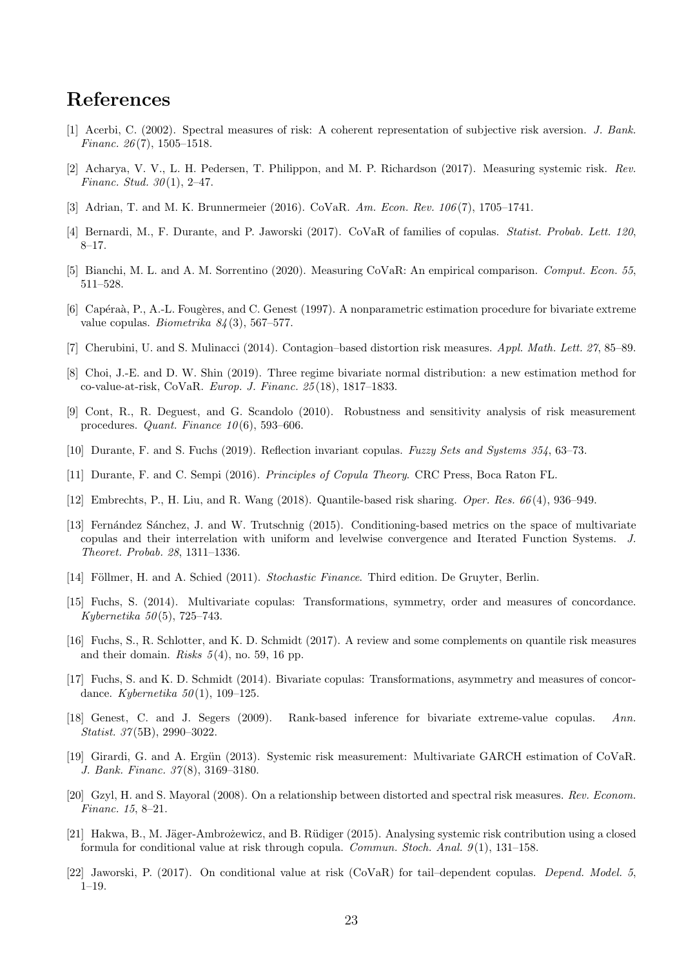# References

- <span id="page-22-6"></span>[1] Acerbi, C. (2002). Spectral measures of risk: A coherent representation of subjective risk aversion. J. Bank. Financ.  $26(7)$ , 1505–1518.
- <span id="page-22-5"></span>[2] Acharya, V. V., L. H. Pedersen, T. Philippon, and M. P. Richardson (2017). Measuring systemic risk. Rev. Financ. Stud.  $30(1)$ , 2-47.
- <span id="page-22-0"></span>[3] Adrian, T. and M. K. Brunnermeier (2016). CoVaR. Am. Econ. Rev. 106 (7), 1705–1741.
- <span id="page-22-2"></span>[4] Bernardi, M., F. Durante, and P. Jaworski (2017). CoVaR of families of copulas. Statist. Probab. Lett. 120, 8–17.
- <span id="page-22-9"></span>[5] Bianchi, M. L. and A. M. Sorrentino (2020). Measuring CoVaR: An empirical comparison. Comput. Econ. 55, 511–528.
- <span id="page-22-20"></span>[6] Capéraà, P., A.-L. Fougères, and C. Genest (1997). A nonparametric estimation procedure for bivariate extreme value copulas. Biometrika  $84(3)$ , 567–577.
- <span id="page-22-18"></span>[7] Cherubini, U. and S. Mulinacci (2014). Contagion–based distortion risk measures. Appl. Math. Lett. 27, 85–89.
- <span id="page-22-10"></span>[8] Choi, J.-E. and D. W. Shin (2019). Three regime bivariate normal distribution: a new estimation method for co-value-at-risk, CoVaR. Europ. J. Financ. 25 (18), 1817–1833.
- <span id="page-22-12"></span>[9] Cont, R., R. Deguest, and G. Scandolo (2010). Robustness and sensitivity analysis of risk measurement procedures. Quant. Finance  $10(6)$ , 593-606.
- <span id="page-22-15"></span>[10] Durante, F. and S. Fuchs (2019). Reflection invariant copulas. Fuzzy Sets and Systems 354, 63–73.
- <span id="page-22-11"></span>[11] Durante, F. and C. Sempi (2016). Principles of Copula Theory. CRC Press, Boca Raton FL.
- <span id="page-22-13"></span>[12] Embrechts, P., H. Liu, and R. Wang (2018). Quantile-based risk sharing. Oper. Res. 66 (4), 936–949.
- <span id="page-22-19"></span>[13] Fernández Sánchez, J. and W. Trutschnig (2015). Conditioning-based metrics on the space of multivariate copulas and their interrelation with uniform and levelwise convergence and Iterated Function Systems. J. Theoret. Probab. 28, 1311–1336.
- <span id="page-22-14"></span>[14] Föllmer, H. and A. Schied (2011). Stochastic Finance. Third edition. De Gruyter, Berlin.
- <span id="page-22-16"></span>[15] Fuchs, S. (2014). Multivariate copulas: Transformations, symmetry, order and measures of concordance. Kybernetika  $50(5)$ , 725–743.
- <span id="page-22-7"></span>[16] Fuchs, S., R. Schlotter, and K. D. Schmidt (2017). A review and some complements on quantile risk measures and their domain. Risks  $5(4)$ , no. 59, 16 pp.
- <span id="page-22-17"></span>[17] Fuchs, S. and K. D. Schmidt (2014). Bivariate copulas: Transformations, asymmetry and measures of concordance. Kybernetika  $50(1)$ , 109-125.
- <span id="page-22-21"></span>[18] Genest, C. and J. Segers (2009). Rank-based inference for bivariate extreme-value copulas. Ann. Statist. 37 (5B), 2990–3022.
- <span id="page-22-1"></span>[19] Girardi, G. and A. Ergün (2013). Systemic risk measurement: Multivariate GARCH estimation of CoVaR. J. Bank. Financ. 37 (8), 3169–3180.
- <span id="page-22-8"></span>[20] Gzyl, H. and S. Mayoral (2008). On a relationship between distorted and spectral risk measures. Rev. Econom. Financ. 15, 8–21.
- <span id="page-22-3"></span>[21] Hakwa, B., M. Jäger-Ambrożewicz, and B. Rüdiger (2015). Analysing systemic risk contribution using a closed formula for conditional value at risk through copula. Commun. Stoch. Anal.  $9(1)$ , 131–158.
- <span id="page-22-4"></span>[22] Jaworski, P. (2017). On conditional value at risk (CoVaR) for tail–dependent copulas. Depend. Model. 5, 1–19.